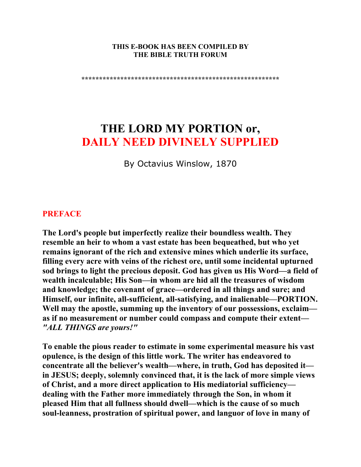#### **THIS E-BOOK HAS BEEN COMPILED BY THE BIBLE TRUTH FORUM**

**\*\*\*\*\*\*\*\*\*\*\*\*\*\*\*\*\*\*\*\*\*\*\*\*\*\*\*\*\*\*\*\*\*\*\*\*\*\*\*\*\*\*\*\*\*\*\*\*\*\*\*\*\*\*\*\*** 

# **THE LORD MY PORTION or, DAILY NEED DIVINELY SUPPLIED**

By Octavius Winslow, 1870

#### **PREFACE**

**The Lord's people but imperfectly realize their boundless wealth. They resemble an heir to whom a vast estate has been bequeathed, but who yet remains ignorant of the rich and extensive mines which underlie its surface, filling every acre with veins of the richest ore, until some incidental upturned sod brings to light the precious deposit. God has given us His Word—a field of wealth incalculable; His Son—in whom are hid all the treasures of wisdom and knowledge; the covenant of grace—ordered in all things and sure; and Himself, our infinite, all-sufficient, all-satisfying, and inalienable—PORTION. Well may the apostle, summing up the inventory of our possessions, exclaim as if no measurement or number could compass and compute their extent—** *"ALL THINGS are yours!"* 

**To enable the pious reader to estimate in some experimental measure his vast opulence, is the design of this little work. The writer has endeavored to concentrate all the believer's wealth—where, in truth, God has deposited it in JESUS; deeply, solemnly convinced that, it is the lack of more simple views of Christ, and a more direct application to His mediatorial sufficiency dealing with the Father more immediately through the Son, in whom it pleased Him that all fullness should dwell—which is the cause of so much soul-leanness, prostration of spiritual power, and languor of love in many of**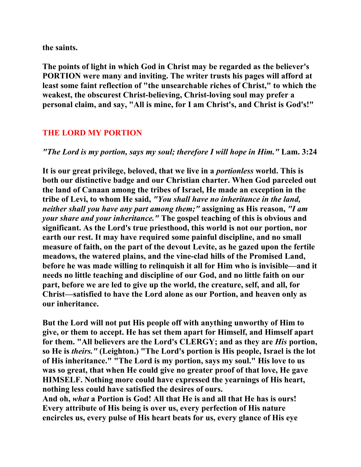**the saints.** 

**The points of light in which God in Christ may be regarded as the believer's PORTION were many and inviting. The writer trusts his pages will afford at least some faint reflection of "the unsearchable riches of Christ," to which the weakest, the obscurest Christ-believing, Christ-loving soul may prefer a personal claim, and say, "All is mine, for I am Christ's, and Christ is God's!"** 

## **THE LORD MY PORTION**

#### *"The Lord is my portion, says my soul; therefore I will hope in Him."* **Lam. 3:24**

**It is our great privilege, beloved, that we live in a** *portionless* **world. This is both our distinctive badge and our Christian charter. When God parceled out the land of Canaan among the tribes of Israel, He made an exception in the tribe of Levi, to whom He said,** *"You shall have no inheritance in the land, neither shall you have any part among them;"* **assigning as His reason,** *"I am your share and your inheritance."* **The gospel teaching of this is obvious and significant. As the Lord's true priesthood, this world is not our portion, nor earth our rest. It may have required some painful discipline, and no small measure of faith, on the part of the devout Levite, as he gazed upon the fertile meadows, the watered plains, and the vine-clad hills of the Promised Land, before he was made willing to relinquish it all for Him who is invisible—and it needs no little teaching and discipline of our God, and no little faith on our part, before we are led to give up the world, the creature, self, and all, for Christ—satisfied to have the Lord alone as our Portion, and heaven only as our inheritance.** 

**But the Lord will not put His people off with anything unworthy of Him to give, or them to accept. He has set them apart for Himself, and Himself apart for them. "All believers are the Lord's CLERGY; and as they are** *His* **portion, so He is** *theirs."* **(Leighton.) "The Lord's portion is His people, Israel is the lot of His inheritance." "The Lord is my portion, says my soul." His love to us was so great, that when He could give no greater proof of that love, He gave HIMSELF. Nothing more could have expressed the yearnings of His heart, nothing less could have satisfied the desires of ours.** 

**And oh,** *what* **a Portion is God! All that He is and all that He has is ours! Every attribute of His being is over us, every perfection of His nature encircles us, every pulse of His heart beats for us, every glance of His eye**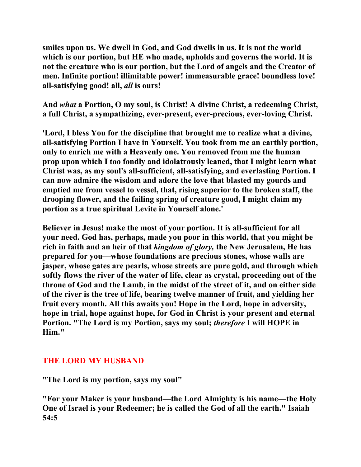**smiles upon us. We dwell in God, and God dwells in us. It is not the world which is our portion, but HE who made, upholds and governs the world. It is not the creature who is our portion, but the Lord of angels and the Creator of men. Infinite portion! illimitable power! immeasurable grace! boundless love! all-satisfying good! all,** *all* **is ours!** 

**And** *what* **a Portion, O my soul, is Christ! A divine Christ, a redeeming Christ, a full Christ, a sympathizing, ever-present, ever-precious, ever-loving Christ.** 

**'Lord, I bless You for the discipline that brought me to realize what a divine, all-satisfying Portion I have in Yourself. You took from me an earthly portion, only to enrich me with a Heavenly one. You removed from me the human prop upon which I too fondly and idolatrously leaned, that I might learn what Christ was, as my soul's all-sufficient, all-satisfying, and everlasting Portion. I can now admire the wisdom and adore the love that blasted my gourds and emptied me from vessel to vessel, that, rising superior to the broken staff, the drooping flower, and the failing spring of creature good, I might claim my portion as a true spiritual Levite in Yourself alone.'** 

**Believer in Jesus! make the most of your portion. It is all-sufficient for all your need. God has, perhaps, made you poor in this world, that you might be rich in faith and an heir of that** *kingdom of glory,* **the New Jerusalem, He has prepared for you—whose foundations are precious stones, whose walls are jasper, whose gates are pearls, whose streets are pure gold, and through which softly flows the river of the water of life, clear as crystal, proceeding out of the throne of God and the Lamb, in the midst of the street of it, and on either side of the river is the tree of life, bearing twelve manner of fruit, and yielding her fruit every month. All this awaits you! Hope in the Lord, hope in adversity, hope in trial, hope against hope, for God in Christ is your present and eternal Portion. "The Lord is my Portion, says my soul;** *therefore* **I will HOPE in Him."** 

# **THE LORD MY HUSBAND**

**"The Lord is my portion, says my soul"** 

**"For your Maker is your husband—the Lord Almighty is his name—the Holy One of Israel is your Redeemer; he is called the God of all the earth." Isaiah 54:5**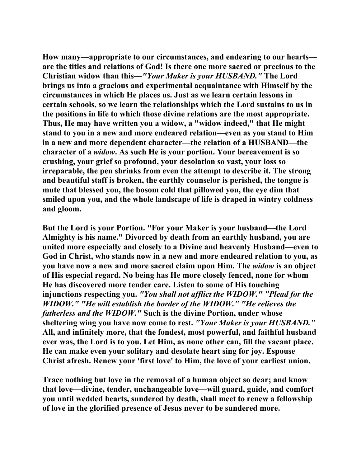**How many—appropriate to our circumstances, and endearing to our hearts are the titles and relations of God! Is there one more sacred or precious to the Christian widow than this—***"Your Maker is your HUSBAND."* **The Lord brings us into a gracious and experimental acquaintance with Himself by the circumstances in which He places us. Just as we learn certain lessons in certain schools, so we learn the relationships which the Lord sustains to us in the positions in life to which those divine relations are the most appropriate. Thus, He may have written you a widow, a "widow indeed," that He might stand to you in a new and more endeared relation—even as you stand to Him in a new and more dependent character—the relation of a HUSBAND—the character of a** *widow***. As such He is your portion. Your bereavement is so crushing, your grief so profound, your desolation so vast, your loss so irreparable, the pen shrinks from even the attempt to describe it. The strong and beautiful staff is broken, the earthly counselor is perished, the tongue is mute that blessed you, the bosom cold that pillowed you, the eye dim that smiled upon you, and the whole landscape of life is draped in wintry coldness and gloom.** 

**But the Lord is your Portion. "For your Maker is your husband—the Lord Almighty is his name." Divorced by death from an earthly husband, you are united more especially and closely to a Divine and heavenly Husband—even to God in Christ, who stands now in a new and more endeared relation to you, as you have now a new and more sacred claim upon Him. The** *widow* **is an object of His especial regard. No being has He more closely fenced, none for whom He has discovered more tender care. Listen to some of His touching injunctions respecting you.** *"You shall not afflict the WIDOW." "Plead for the WIDOW." "He will establish the border of the WIDOW." "He relieves the fatherless and the WIDOW."* **Such is the divine Portion, under whose sheltering wing you have now come to rest.** *"Your Maker is your HUSBAND."*  **All, and infinitely more, that the fondest, most powerful, and faithful husband ever was, the Lord is to you. Let Him, as none other can, fill the vacant place. He can make even your solitary and desolate heart sing for joy. Espouse Christ afresh. Renew your 'first love' to Him, the love of your earliest union.** 

**Trace nothing but love in the removal of a human object so dear; and know that love—divine, tender, unchangeable love—will guard, guide, and comfort you until wedded hearts, sundered by death, shall meet to renew a fellowship of love in the glorified presence of Jesus never to be sundered more.**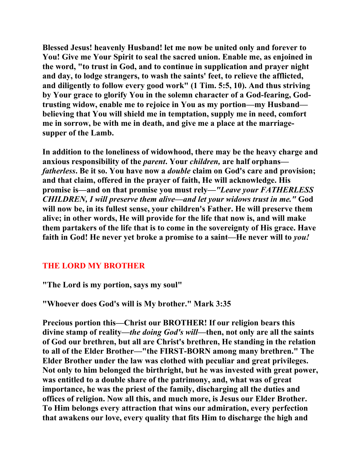**Blessed Jesus! heavenly Husband! let me now be united only and forever to You! Give me Your Spirit to seal the sacred union. Enable me, as enjoined in the word, "to trust in God, and to continue in supplication and prayer night and day, to lodge strangers, to wash the saints' feet, to relieve the afflicted, and diligently to follow every good work" (1 Tim. 5:5, 10). And thus striving by Your grace to glorify You in the solemn character of a God-fearing, Godtrusting widow, enable me to rejoice in You as my portion—my Husband believing that You will shield me in temptation, supply me in need, comfort me in sorrow, be with me in death, and give me a place at the marriagesupper of the Lamb.** 

**In addition to the loneliness of widowhood, there may be the heavy charge and anxious responsibility of the** *parent***. Your** *children,* **are half orphans** *fatherless***. Be it so. You have now a** *double* **claim on God's care and provision; and that claim, offered in the prayer of faith, He will acknowledge. His promise is—and on that promise you must rely—***"Leave your FATHERLESS CHILDREN, I will preserve them alive—and let your widows trust in me."* **God will now be, in its fullest sense, your children's Father. He will preserve them alive; in other words, He will provide for the life that now is, and will make them partakers of the life that is to come in the sovereignty of His grace. Have faith in God! He never yet broke a promise to a saint—He never will to** *you!* 

# **THE LORD MY BROTHER**

**"The Lord is my portion, says my soul"** 

**"Whoever does God's will is My brother." Mark 3:35** 

**Precious portion this—Christ our BROTHER! If our religion bears this divine stamp of reality—***the doing God's will***—then, not only are all the saints of God our brethren, but all are Christ's brethren, He standing in the relation to all of the Elder Brother—"the FIRST-BORN among many brethren." The Elder Brother under the law was clothed with peculiar and great privileges. Not only to him belonged the birthright, but he was invested with great power, was entitled to a double share of the patrimony, and, what was of great importance, he was the priest of the family, discharging all the duties and offices of religion. Now all this, and much more, is Jesus our Elder Brother. To Him belongs every attraction that wins our admiration, every perfection that awakens our love, every quality that fits Him to discharge the high and**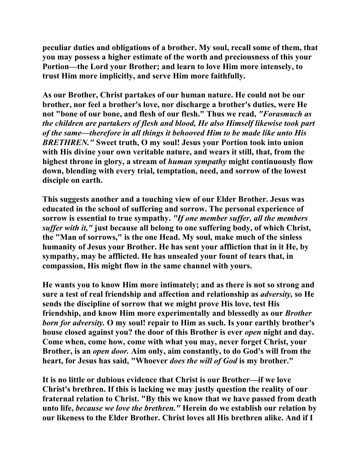**peculiar duties and obligations of a brother. My soul, recall some of them, that you may possess a higher estimate of the worth and preciousness of this your Portion—the Lord your Brother; and learn to love Him more intensely, to trust Him more implicitly, and serve Him more faithfully.** 

**As our Brother, Christ partakes of our human nature. He could not be our brother, nor feel a brother's love, nor discharge a brother's duties, were He not "bone of our bone, and flesh of our flesh." Thus we read,** *"Forasmuch as the children are partakers of flesh and blood, He also Himself likewise took part of the same—therefore in all things it behooved Him to be made like unto His BRETHREN."* **Sweet truth, O my soul! Jesus your Portion took into union with His divine your own veritable nature, and wears it still, that, from the highest throne in glory, a stream of** *human sympathy* **might continuously flow down, blending with every trial, temptation, need, and sorrow of the lowest disciple on earth.** 

**This suggests another and a touching view of our Elder Brother. Jesus was educated in the school of suffering and sorrow. The personal experience of sorrow is essential to true sympathy.** *"If one member suffer, all the members suffer with it,"* **just because all belong to one suffering body, of which Christ, the "Man of sorrows," is the one Head. My soul, make much of the sinless humanity of Jesus your Brother. He has sent your affliction that in it He, by sympathy, may be afflicted. He has unsealed your fount of tears that, in compassion, His might flow in the same channel with yours.** 

**He wants you to know Him more intimately; and as there is not so strong and sure a test of real friendship and affection and relationship as** *adversity,* **so He sends the discipline of sorrow that we might prove His love, test His friendship, and know Him more experimentally and blessedly as our** *Brother born for adversity.* **O my soul! repair to Him as such. Is your earthly brother's house closed against you? the door of this Brother is ever** *open* **night and day. Come when, come how, come with what you may, never forget Christ, your Brother, is an** *open door.* **Aim only, aim constantly, to do God's will from the heart, for Jesus has said, "Whoever** *does the will of God* **is my brother."** 

**It is no little or dubious evidence that Christ is our Brother—if we love Christ's brethren. If this is lacking we may justly question the reality of our fraternal relation to Christ. "By this we know that we have passed from death unto life,** *because we love the brethren."* **Herein do we establish our relation by our likeness to the Elder Brother. Christ loves all His brethren alike. And if I**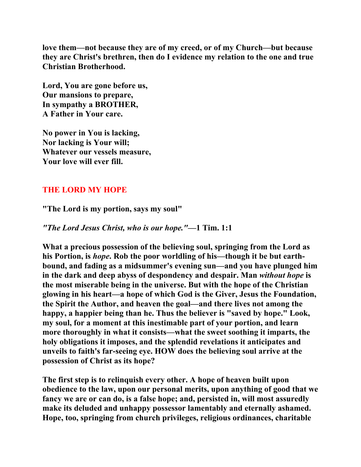**love them—not because they are of my creed, or of my Church—but because they are Christ's brethren, then do I evidence my relation to the one and true Christian Brotherhood.** 

**Lord, You are gone before us, Our mansions to prepare, In sympathy a BROTHER, A Father in Your care.** 

**No power in You is lacking, Nor lacking is Your will; Whatever our vessels measure, Your love will ever fill.** 

## **THE LORD MY HOPE**

**"The Lord is my portion, says my soul"** 

*"The Lord Jesus Christ, who is our hope."***—1 Tim. 1:1** 

**What a precious possession of the believing soul, springing from the Lord as his Portion, is** *hope***. Rob the poor worldling of his—though it be but earthbound, and fading as a midsummer's evening sun—and you have plunged him in the dark and deep abyss of despondency and despair. Man** *without hope* **is the most miserable being in the universe. But with the hope of the Christian glowing in his heart—a hope of which God is the Giver, Jesus the Foundation, the Spirit the Author, and heaven the goal—and there lives not among the happy, a happier being than he. Thus the believer is "saved by hope." Look, my soul, for a moment at this inestimable part of your portion, and learn more thoroughly in what it consists—what the sweet soothing it imparts, the holy obligations it imposes, and the splendid revelations it anticipates and unveils to faith's far-seeing eye. HOW does the believing soul arrive at the possession of Christ as its hope?** 

**The first step is to relinquish every other. A hope of heaven built upon obedience to the law, upon our personal merits, upon anything of good that we fancy we are or can do, is a false hope; and, persisted in, will most assuredly make its deluded and unhappy possessor lamentably and eternally ashamed. Hope, too, springing from church privileges, religious ordinances, charitable**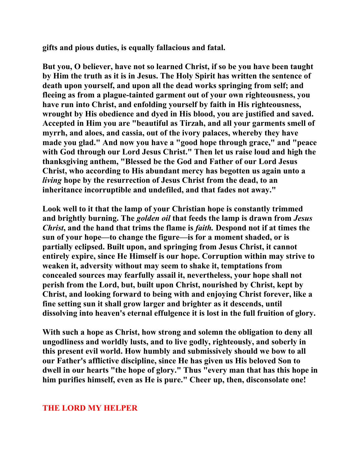**gifts and pious duties, is equally fallacious and fatal.** 

**But you, O believer, have not so learned Christ, if so be you have been taught by Him the truth as it is in Jesus. The Holy Spirit has written the sentence of death upon yourself, and upon all the dead works springing from self; and fleeing as from a plague-tainted garment out of your own righteousness, you have run into Christ, and enfolding yourself by faith in His righteousness, wrought by His obedience and dyed in His blood, you are justified and saved. Accepted in Him you are "beautiful as Tirzah, and all your garments smell of myrrh, and aloes, and cassia, out of the ivory palaces, whereby they have made you glad." And now you have a "good hope through grace," and "peace with God through our Lord Jesus Christ." Then let us raise loud and high the thanksgiving anthem, "Blessed be the God and Father of our Lord Jesus Christ, who according to His abundant mercy has begotten us again unto a**  *living* **hope by the resurrection of Jesus Christ from the dead, to an inheritance incorruptible and undefiled, and that fades not away."** 

**Look well to it that the lamp of your Christian hope is constantly trimmed and brightly burning. The** *golden oil* **that feeds the lamp is drawn from** *Jesus Christ***, and the hand that trims the flame is** *faith.* **Despond not if at times the sun of your hope—to change the figure—is for a moment shaded, or is partially eclipsed. Built upon, and springing from Jesus Christ, it cannot entirely expire, since He Himself is our hope. Corruption within may strive to weaken it, adversity without may seem to shake it, temptations from concealed sources may fearfully assail it, nevertheless, your hope shall not perish from the Lord, but, built upon Christ, nourished by Christ, kept by Christ, and looking forward to being with and enjoying Christ forever, like a fine setting sun it shall grow larger and brighter as it descends, until dissolving into heaven's eternal effulgence it is lost in the full fruition of glory.** 

**With such a hope as Christ, how strong and solemn the obligation to deny all ungodliness and worldly lusts, and to live godly, righteously, and soberly in this present evil world. How humbly and submissively should we bow to all our Father's afflictive discipline, since He has given us His beloved Son to dwell in our hearts "the hope of glory." Thus "every man that has this hope in him purifies himself, even as He is pure." Cheer up, then, disconsolate one!** 

## **THE LORD MY HELPER**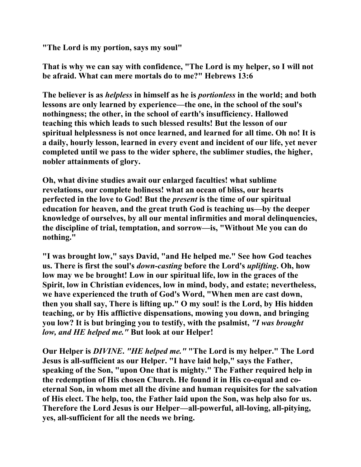**"The Lord is my portion, says my soul"** 

**That is why we can say with confidence, "The Lord is my helper, so I will not be afraid. What can mere mortals do to me?" Hebrews 13:6** 

**The believer is as** *helpless* **in himself as he is** *portionless* **in the world; and both lessons are only learned by experience—the one, in the school of the soul's nothingness; the other, in the school of earth's insufficiency. Hallowed teaching this which leads to such blessed results! But the lesson of our spiritual helplessness is not once learned, and learned for all time. Oh no! It is a daily, hourly lesson, learned in every event and incident of our life, yet never completed until we pass to the wider sphere, the sublimer studies, the higher, nobler attainments of glory.** 

**Oh, what divine studies await our enlarged faculties! what sublime revelations, our complete holiness! what an ocean of bliss, our hearts perfected in the love to God! But the** *present* **is the time of our spiritual education for heaven, and the great truth God is teaching us—by the deeper knowledge of ourselves, by all our mental infirmities and moral delinquencies, the discipline of trial, temptation, and sorrow—is, "Without Me you can do nothing."** 

**"I was brought low," says David, "and He helped me." See how God teaches us. There is first the soul's** *down-casting* **before the Lord's** *uplifting***. Oh, how low may we be brought! Low in our spiritual life, low in the graces of the Spirit, low in Christian evidences, low in mind, body, and estate; nevertheless, we have experienced the truth of God's Word, "When men are cast down, then you shall say, There is lifting up." O my soul! is the Lord, by His hidden teaching, or by His afflictive dispensations, mowing you down, and bringing you low? It is but bringing you to testify, with the psalmist,** *"I was brought low, and HE helped me."* **But look at our Helper!** 

**Our Helper is** *DIVINE***.** *"HE helped me."* **"The Lord is my helper." The Lord Jesus is all-sufficient as our Helper. "I have laid help," says the Father, speaking of the Son, "upon One that is mighty." The Father required help in the redemption of His chosen Church. He found it in His co-equal and coeternal Son, in whom met all the divine and human requisites for the salvation of His elect. The help, too, the Father laid upon the Son, was help also for us. Therefore the Lord Jesus is our Helper—all-powerful, all-loving, all-pitying, yes, all-sufficient for all the needs we bring.**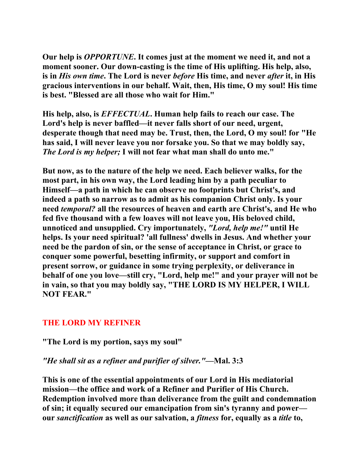**Our help is** *OPPORTUNE***. It comes just at the moment we need it, and not a moment sooner. Our down-casting is the time of His uplifting. His help, also, is in** *His own time***. The Lord is never** *before* **His time, and never** *after* **it, in His gracious interventions in our behalf. Wait, then, His time, O my soul! His time is best. "Blessed are all those who wait for Him."** 

**His help, also, is** *EFFECTUAL***. Human help fails to reach our case. The Lord's help is never baffled—it never falls short of our need, urgent, desperate though that need may be. Trust, then, the Lord, O my soul! for "He has said, I will never leave you nor forsake you. So that we may boldly say,**  *The Lord is my helper;* **I will not fear what man shall do unto me."** 

**But now, as to the nature of the help we need. Each believer walks, for the most part, in his own way, the Lord leading him by a path peculiar to Himself—a path in which he can observe no footprints but Christ's, and indeed a path so narrow as to admit as his companion Christ only. Is your need** *temporal?* **all the resources of heaven and earth are Christ's, and He who fed five thousand with a few loaves will not leave you, His beloved child, unnoticed and unsupplied. Cry importunately,** *"Lord, help me!"* **until He helps. Is your need spiritual? 'all fullness' dwells in Jesus. And whether your need be the pardon of sin, or the sense of acceptance in Christ, or grace to conquer some powerful, besetting infirmity, or support and comfort in present sorrow, or guidance in some trying perplexity, or deliverance in behalf of one you love—still cry, "Lord, help me!" and your prayer will not be in vain, so that you may boldly say, "THE LORD IS MY HELPER, I WILL NOT FEAR."** 

## **THE LORD MY REFINER**

**"The Lord is my portion, says my soul"** 

## *"He shall sit as a refiner and purifier of silver."***—Mal. 3:3**

**This is one of the essential appointments of our Lord in His mediatorial mission—the office and work of a Refiner and Purifier of His Church. Redemption involved more than deliverance from the guilt and condemnation of sin; it equally secured our emancipation from sin's tyranny and power our** *sanctification* **as well as our salvation, a** *fitness* **for, equally as a** *title* **to,**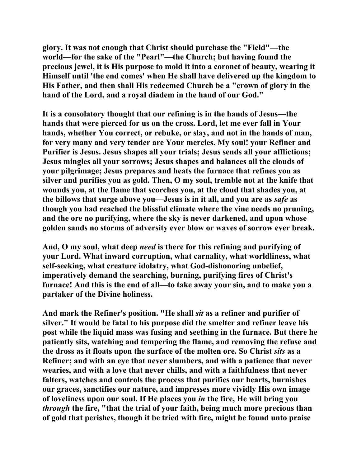**glory. It was not enough that Christ should purchase the "Field"—the world—for the sake of the "Pearl"—the Church; but having found the precious jewel, it is His purpose to mold it into a coronet of beauty, wearing it Himself until 'the end comes' when He shall have delivered up the kingdom to His Father, and then shall His redeemed Church be a "crown of glory in the hand of the Lord, and a royal diadem in the hand of our God."** 

**It is a consolatory thought that our refining is in the hands of Jesus—the hands that were pierced for us on the cross. Lord, let me ever fall in Your hands, whether You correct, or rebuke, or slay, and not in the hands of man, for very many and very tender are Your mercies. My soul! your Refiner and Purifier is Jesus. Jesus shapes all your trials; Jesus sends all your afflictions; Jesus mingles all your sorrows; Jesus shapes and balances all the clouds of your pilgrimage; Jesus prepares and heats the furnace that refines you as silver and purifies you as gold. Then, O my soul, tremble not at the knife that wounds you, at the flame that scorches you, at the cloud that shades you, at the billows that surge above you—Jesus is in it all, and you are as** *safe* **as though you had reached the blissful climate where the vine needs no pruning, and the ore no purifying, where the sky is never darkened, and upon whose golden sands no storms of adversity ever blow or waves of sorrow ever break.** 

**And, O my soul, what deep** *need* **is there for this refining and purifying of your Lord. What inward corruption, what carnality, what worldliness, what self-seeking, what creature idolatry, what God-dishonoring unbelief, imperatively demand the searching, burning, purifying fires of Christ's furnace! And this is the end of all—to take away your sin, and to make you a partaker of the Divine holiness.** 

**And mark the Refiner's position. "He shall** *sit* **as a refiner and purifier of silver." It would be fatal to his purpose did the smelter and refiner leave his post while the liquid mass was fusing and seething in the furnace. But there he patiently sits, watching and tempering the flame, and removing the refuse and the dross as it floats upon the surface of the molten ore. So Christ** *sits* **as a Refiner; and with an eye that never slumbers, and with a patience that never wearies, and with a love that never chills, and with a faithfulness that never falters, watches and controls the process that purifies our hearts, burnishes our graces, sanctifies our nature, and impresses more vividly His own image of loveliness upon our soul. If He places you** *in* **the fire, He will bring you**  *through* **the fire, "that the trial of your faith, being much more precious than of gold that perishes, though it be tried with fire, might be found unto praise**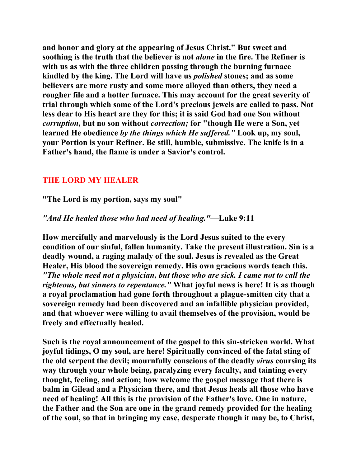**and honor and glory at the appearing of Jesus Christ." But sweet and soothing is the truth that the believer is not** *alone* **in the fire. The Refiner is with us as with the three children passing through the burning furnace kindled by the king. The Lord will have us** *polished* **stones; and as some believers are more rusty and some more alloyed than others, they need a rougher file and a hotter furnace. This may account for the great severity of trial through which some of the Lord's precious jewels are called to pass. Not less dear to His heart are they for this; it is said God had one Son without**  *corruption,* **but no son without** *correction;* **for "though He were a Son, yet learned He obedience** *by the things which He suffered."* **Look up, my soul, your Portion is your Refiner. Be still, humble, submissive. The knife is in a Father's hand, the flame is under a Savior's control.** 

## **THE LORD MY HEALER**

**"The Lord is my portion, says my soul"** 

## *"And He healed those who had need of healing."***—Luke 9:11**

**How mercifully and marvelously is the Lord Jesus suited to the every condition of our sinful, fallen humanity. Take the present illustration. Sin is a deadly wound, a raging malady of the soul. Jesus is revealed as the Great Healer, His blood the sovereign remedy. His own gracious words teach this.**  *"The whole need not a physician, but those who are sick. I came not to call the righteous, but sinners to repentance."* **What joyful news is here! It is as though a royal proclamation had gone forth throughout a plague-smitten city that a sovereign remedy had been discovered and an infallible physician provided, and that whoever were willing to avail themselves of the provision, would be freely and effectually healed.** 

**Such is the royal announcement of the gospel to this sin-stricken world. What joyful tidings, O my soul, are here! Spiritually convinced of the fatal sting of the old serpent the devil; mournfully conscious of the deadly** *virus* **coursing its way through your whole being, paralyzing every faculty, and tainting every thought, feeling, and action; how welcome the gospel message that there is balm in Gilead and a Physician there, and that Jesus heals all those who have need of healing! All this is the provision of the Father's love. One in nature, the Father and the Son are one in the grand remedy provided for the healing of the soul, so that in bringing my case, desperate though it may be, to Christ,**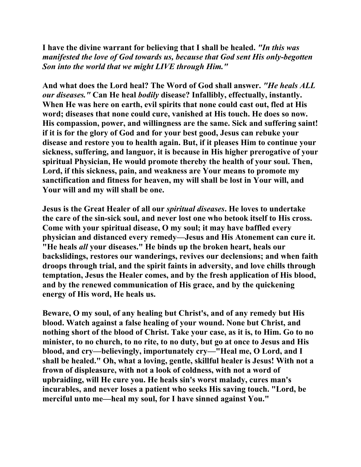**I have the divine warrant for believing that I shall be healed.** *"In this was manifested the love of God towards us, because that God sent His only-begotten Son into the world that we might LIVE through Him."* 

**And what does the Lord heal? The Word of God shall answer.** *"He heals ALL our diseases."* **Can He heal** *bodily* **disease? Infallibly, effectually, instantly. When He was here on earth, evil spirits that none could cast out, fled at His word; diseases that none could cure, vanished at His touch. He does so now. His compassion, power, and willingness are the same. Sick and suffering saint! if it is for the glory of God and for your best good, Jesus can rebuke your disease and restore you to health again. But, if it pleases Him to continue your sickness, suffering, and languor, it is because in His higher prerogative of your spiritual Physician, He would promote thereby the health of your soul. Then, Lord, if this sickness, pain, and weakness are Your means to promote my sanctification and fitness for heaven, my will shall be lost in Your will, and Your will and my will shall be one.** 

**Jesus is the Great Healer of all our** *spiritual diseases***. He loves to undertake the care of the sin-sick soul, and never lost one who betook itself to His cross. Come with your spiritual disease, O my soul; it may have baffled every physician and distanced every remedy—Jesus and His Atonement can cure it. "He heals** *all* **your diseases." He binds up the broken heart, heals our backslidings, restores our wanderings, revives our declensions; and when faith droops through trial, and the spirit faints in adversity, and love chills through temptation, Jesus the Healer comes, and by the fresh application of His blood, and by the renewed communication of His grace, and by the quickening energy of His word, He heals us.** 

**Beware, O my soul, of any healing but Christ's, and of any remedy but His blood. Watch against a false healing of your wound. None but Christ, and nothing short of the blood of Christ. Take your case, as it is, to Him. Go to no minister, to no church, to no rite, to no duty, but go at once to Jesus and His blood, and cry—believingly, importunately cry—"Heal me, O Lord, and I shall be healed." Oh, what a loving, gentle, skillful healer is Jesus! With not a frown of displeasure, with not a look of coldness, with not a word of upbraiding, will He cure you. He heals sin's worst malady, cures man's incurables, and never loses a patient who seeks His saving touch. "Lord, be merciful unto me—heal my soul, for I have sinned against You."**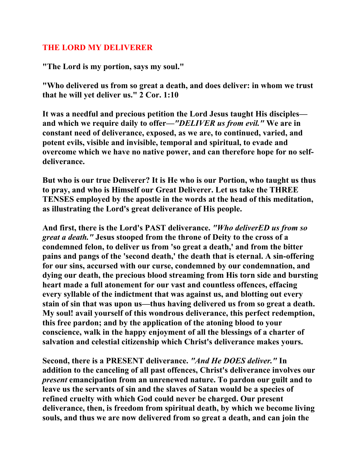## **THE LORD MY DELIVERER**

**"The Lord is my portion, says my soul."** 

**"Who delivered us from so great a death, and does deliver: in whom we trust that he will yet deliver us." 2 Cor. 1:10** 

**It was a needful and precious petition the Lord Jesus taught His disciples and which we require daily to offer—***"DELIVER us from evil."* **We are in constant need of deliverance, exposed, as we are, to continued, varied, and potent evils, visible and invisible, temporal and spiritual, to evade and overcome which we have no native power, and can therefore hope for no selfdeliverance.** 

**But who is our true Deliverer? It is He who is our Portion, who taught us thus to pray, and who is Himself our Great Deliverer. Let us take the THREE TENSES employed by the apostle in the words at the head of this meditation, as illustrating the Lord's great deliverance of His people.** 

**And first, there is the Lord's PAST deliverance.** *"Who deliverED us from so great a death."* **Jesus stooped from the throne of Deity to the cross of a condemned felon, to deliver us from 'so great a death,' and from the bitter pains and pangs of the 'second death,' the death that is eternal. A sin-offering for our sins, accursed with our curse, condemned by our condemnation, and dying our death, the precious blood streaming from His torn side and bursting heart made a full atonement for our vast and countless offences, effacing every syllable of the indictment that was against us, and blotting out every stain of sin that was upon us—thus having delivered us from so great a death. My soul! avail yourself of this wondrous deliverance, this perfect redemption, this free pardon; and by the application of the atoning blood to your conscience, walk in the happy enjoyment of all the blessings of a charter of salvation and celestial citizenship which Christ's deliverance makes yours.** 

**Second, there is a PRESENT deliverance.** *"And He DOES deliver."* **In addition to the canceling of all past offences, Christ's deliverance involves our**  *present* **emancipation from an unrenewed nature. To pardon our guilt and to leave us the servants of sin and the slaves of Satan would be a species of refined cruelty with which God could never be charged. Our present deliverance, then, is freedom from spiritual death, by which we become living souls, and thus we are now delivered from so great a death, and can join the**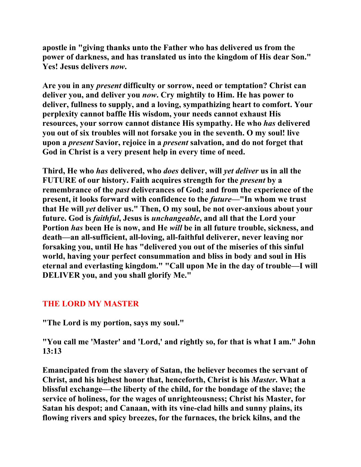**apostle in "giving thanks unto the Father who has delivered us from the power of darkness, and has translated us into the kingdom of His dear Son." Yes! Jesus delivers** *now***.** 

**Are you in any** *present* **difficulty or sorrow, need or temptation? Christ can deliver you, and deliver you** *now***. Cry mightily to Him. He has power to deliver, fullness to supply, and a loving, sympathizing heart to comfort. Your perplexity cannot baffle His wisdom, your needs cannot exhaust His resources, your sorrow cannot distance His sympathy. He who** *has* **delivered you out of six troubles will not forsake you in the seventh. O my soul! live upon a** *present* **Savior, rejoice in a** *present* **salvation, and do not forget that God in Christ is a very present help in every time of need.** 

**Third, He who** *has* **delivered, who** *does* **deliver, will** *yet deliver* **us in all the FUTURE of our history. Faith acquires strength for the** *present* **by a remembrance of the** *past* **deliverances of God; and from the experience of the present, it looks forward with confidence to the** *future***—"In whom we trust that He will** *yet* **deliver us." Then, O my soul, be not over-anxious about your future. God is** *faithful***, Jesus is** *unchangeable***, and all that the Lord your Portion** *has* **been He is now, and He** *will* **be in all future trouble, sickness, and death—an all-sufficient, all-loving, all-faithful deliverer, never leaving nor forsaking you, until He has "delivered you out of the miseries of this sinful world, having your perfect consummation and bliss in body and soul in His eternal and everlasting kingdom." "Call upon Me in the day of trouble—I will DELIVER you, and you shall glorify Me."** 

# **THE LORD MY MASTER**

**"The Lord is my portion, says my soul."** 

**"You call me 'Master' and 'Lord,' and rightly so, for that is what I am." John 13:13** 

**Emancipated from the slavery of Satan, the believer becomes the servant of Christ, and his highest honor that, henceforth, Christ is his** *Master***. What a blissful exchange—the liberty of the child, for the bondage of the slave; the service of holiness, for the wages of unrighteousness; Christ his Master, for Satan his despot; and Canaan, with its vine-clad hills and sunny plains, its flowing rivers and spicy breezes, for the furnaces, the brick kilns, and the**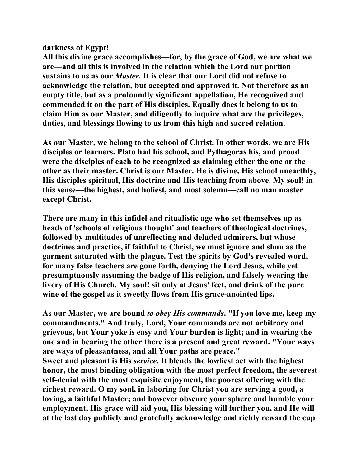## **darkness of Egypt!**

**All this divine grace accomplishes—for, by the grace of God, we are what we are—and all this is involved in the relation which the Lord our portion sustains to us as our** *Master***. It is clear that our Lord did not refuse to acknowledge the relation, but accepted and approved it. Not therefore as an empty title, but as a profoundly significant appellation, He recognized and commended it on the part of His disciples. Equally does it belong to us to claim Him as our Master, and diligently to inquire what are the privileges, duties, and blessings flowing to us from this high and sacred relation.** 

**As our Master, we belong to the school of Christ. In other words, we are His disciples or learners. Plato had his school, and Pythagoras his, and proud were the disciples of each to be recognized as claiming either the one or the other as their master. Christ is our Master. He is divine, His school unearthly, His disciples spiritual, His doctrine and His teaching from above. My soul! in this sense—the highest, and holiest, and most solemn—call no man master except Christ.** 

**There are many in this infidel and ritualistic age who set themselves up as heads of 'schools of religious thought' and teachers of theological doctrines, followed by multitudes of unreflecting and deluded admirers, but whose doctrines and practice, if faithful to Christ, we must ignore and shun as the garment saturated with the plague. Test the spirits by God's revealed word, for many false teachers are gone forth, denying the Lord Jesus, while yet presumptuously assuming the badge of His religion, and falsely wearing the livery of His Church. My soul! sit only at Jesus' feet, and drink of the pure wine of the gospel as it sweetly flows from His grace-anointed lips.** 

**As our Master, we are bound** *to obey His commands***. "If you love me, keep my commandments." And truly, Lord, Your commands are not arbitrary and grievous, but Your yoke is easy and Your burden is light; and in wearing the one and in bearing the other there is a present and great reward. "Your ways are ways of pleasantness, and all Your paths are peace."** 

**Sweet and pleasant is His** *service***. It blends the lowliest act with the highest honor, the most binding obligation with the most perfect freedom, the severest self-denial with the most exquisite enjoyment, the poorest offering with the richest reward. O my soul, in laboring for Christ you are serving a good, a loving, a faithful Master; and however obscure your sphere and humble your employment, His grace will aid you, His blessing will further you, and He will at the last day publicly and gratefully acknowledge and richly reward the cup**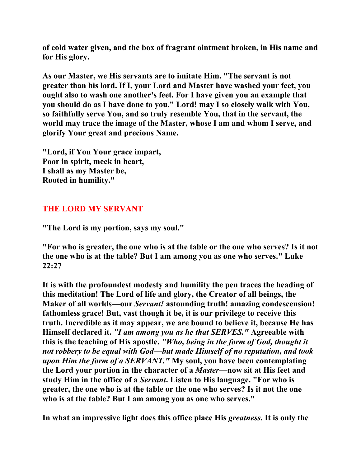**of cold water given, and the box of fragrant ointment broken, in His name and for His glory.** 

**As our Master, we His servants are to imitate Him. "The servant is not greater than his lord. If I, your Lord and Master have washed your feet, you ought also to wash one another's feet. For I have given you an example that you should do as I have done to you." Lord! may I so closely walk with You, so faithfully serve You, and so truly resemble You, that in the servant, the world may trace the image of the Master, whose I am and whom I serve, and glorify Your great and precious Name.** 

**"Lord, if You Your grace impart, Poor in spirit, meek in heart, I shall as my Master be, Rooted in humility."** 

# **THE LORD MY SERVANT**

**"The Lord is my portion, says my soul."** 

**"For who is greater, the one who is at the table or the one who serves? Is it not the one who is at the table? But I am among you as one who serves." Luke 22:27** 

**It is with the profoundest modesty and humility the pen traces the heading of this meditation! The Lord of life and glory, the Creator of all beings, the Maker of all worlds—our** *Servant!* **astounding truth! amazing condescension! fathomless grace! But, vast though it be, it is our privilege to receive this truth. Incredible as it may appear, we are bound to believe it, because He has Himself declared it.** *"I am among you as he that SERVES."* **Agreeable with this is the teaching of His apostle.** *"Who, being in the form of God, thought it not robbery to be equal with God—but made Himself of no reputation, and took upon Him the form of a SERVANT."* **My soul, you have been contemplating the Lord your portion in the character of a** *Master***—now sit at His feet and study Him in the office of a** *Servant***. Listen to His language. "For who is greater, the one who is at the table or the one who serves? Is it not the one who is at the table? But I am among you as one who serves."** 

**In what an impressive light does this office place His** *greatness***. It is only the**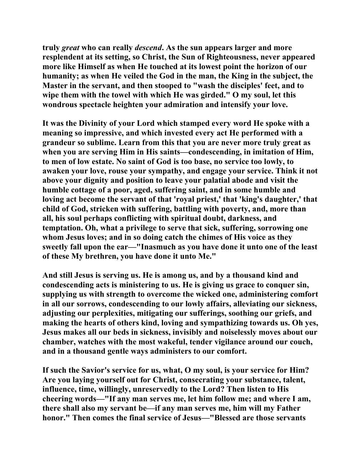**truly** *great* **who can really** *descend***. As the sun appears larger and more resplendent at its setting, so Christ, the Sun of Righteousness, never appeared more like Himself as when He touched at its lowest point the horizon of our humanity; as when He veiled the God in the man, the King in the subject, the Master in the servant, and then stooped to "wash the disciples' feet, and to wipe them with the towel with which He was girded." O my soul, let this wondrous spectacle heighten your admiration and intensify your love.** 

**It was the Divinity of your Lord which stamped every word He spoke with a meaning so impressive, and which invested every act He performed with a grandeur so sublime. Learn from this that you are never more truly great as when you are serving Him in His saints—condescending, in imitation of Him, to men of low estate. No saint of God is too base, no service too lowly, to awaken your love, rouse your sympathy, and engage your service. Think it not above your dignity and position to leave your palatial abode and visit the humble cottage of a poor, aged, suffering saint, and in some humble and loving act become the servant of that 'royal priest,' that 'king's daughter,' that child of God, stricken with suffering, battling with poverty, and, more than all, his soul perhaps conflicting with spiritual doubt, darkness, and temptation. Oh, what a privilege to serve that sick, suffering, sorrowing one whom Jesus loves; and in so doing catch the chimes of His voice as they sweetly fall upon the ear—"Inasmuch as you have done it unto one of the least of these My brethren, you have done it unto Me."** 

**And still Jesus is serving us. He is among us, and by a thousand kind and condescending acts is ministering to us. He is giving us grace to conquer sin, supplying us with strength to overcome the wicked one, administering comfort in all our sorrows, condescending to our lowly affairs, alleviating our sickness, adjusting our perplexities, mitigating our sufferings, soothing our griefs, and making the hearts of others kind, loving and sympathizing towards us. Oh yes, Jesus makes all our beds in sickness, invisibly and noiselessly moves about our chamber, watches with the most wakeful, tender vigilance around our couch, and in a thousand gentle ways administers to our comfort.** 

**If such the Savior's service for us, what, O my soul, is your service for Him? Are you laying yourself out for Christ, consecrating your substance, talent, influence, time, willingly, unreservedly to the Lord? Then listen to His cheering words—"If any man serves me, let him follow me; and where I am, there shall also my servant be—if any man serves me, him will my Father honor." Then comes the final service of Jesus—"Blessed are those servants**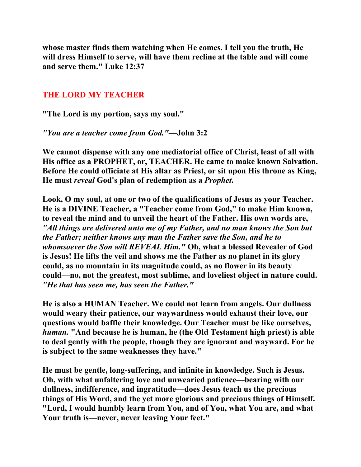**whose master finds them watching when He comes. I tell you the truth, He will dress Himself to serve, will have them recline at the table and will come and serve them." Luke 12:37** 

## **THE LORD MY TEACHER**

**"The Lord is my portion, says my soul."** 

*"You are a teacher come from God."***—John 3:2** 

**We cannot dispense with any one mediatorial office of Christ, least of all with His office as a PROPHET, or, TEACHER. He came to make known Salvation. Before He could officiate at His altar as Priest, or sit upon His throne as King, He must** *reveal* **God's plan of redemption as a** *Prophet***.** 

**Look, O my soul, at one or two of the qualifications of Jesus as your Teacher. He is a DIVINE Teacher, a "Teacher come from God," to make Him known, to reveal the mind and to unveil the heart of the Father. His own words are,**  *"All things are delivered unto me of my Father, and no man knows the Son but the Father; neither knows any man the Father save the Son, and he to whomsoever the Son will REVEAL Him."* **Oh, what a blessed Revealer of God is Jesus! He lifts the veil and shows me the Father as no planet in its glory could, as no mountain in its magnitude could, as no flower in its beauty could—no, not the greatest, most sublime, and loveliest object in nature could.** *"He that has seen me, has seen the Father."* 

**He is also a HUMAN Teacher. We could not learn from angels. Our dullness would weary their patience, our waywardness would exhaust their love, our questions would baffle their knowledge. Our Teacher must be like ourselves,**  *human.* **"And because he is human, he (the Old Testament high priest) is able to deal gently with the people, though they are ignorant and wayward. For he is subject to the same weaknesses they have."** 

**He must be gentle, long-suffering, and infinite in knowledge. Such is Jesus. Oh, with what unfaltering love and unwearied patience—bearing with our dullness, indifference, and ingratitude—does Jesus teach us the precious things of His Word, and the yet more glorious and precious things of Himself. "Lord, I would humbly learn from You, and of You, what You are, and what Your truth is—never, never leaving Your feet."**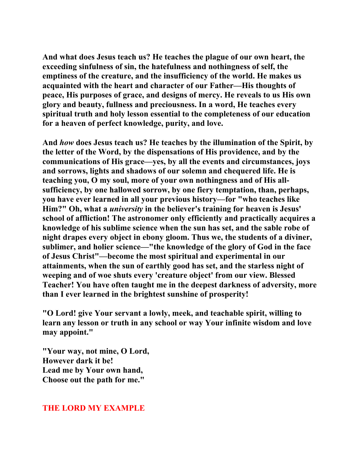**And what does Jesus teach us? He teaches the plague of our own heart, the exceeding sinfulness of sin, the hatefulness and nothingness of self, the emptiness of the creature, and the insufficiency of the world. He makes us acquainted with the heart and character of our Father—His thoughts of peace, His purposes of grace, and designs of mercy. He reveals to us His own glory and beauty, fullness and preciousness. In a word, He teaches every spiritual truth and holy lesson essential to the completeness of our education for a heaven of perfect knowledge, purity, and love.** 

**And** *how* **does Jesus teach us? He teaches by the illumination of the Spirit, by the letter of the Word, by the dispensations of His providence, and by the communications of His grace—yes, by all the events and circumstances, joys and sorrows, lights and shadows of our solemn and chequered life. He is teaching you, O my soul, more of your own nothingness and of His allsufficiency, by one hallowed sorrow, by one fiery temptation, than, perhaps, you have ever learned in all your previous history—for "who teaches like Him?" Oh, what a** *university* **in the believer's training for heaven is Jesus' school of affliction! The astronomer only efficiently and practically acquires a knowledge of his sublime science when the sun has set, and the sable robe of night drapes every object in ebony gloom. Thus we, the students of a diviner, sublimer, and holier science—"the knowledge of the glory of God in the face of Jesus Christ"—become the most spiritual and experimental in our attainments, when the sun of earthly good has set, and the starless night of weeping and of woe shuts every 'creature object' from our view. Blessed Teacher! You have often taught me in the deepest darkness of adversity, more than I ever learned in the brightest sunshine of prosperity!** 

**"O Lord! give Your servant a lowly, meek, and teachable spirit, willing to learn any lesson or truth in any school or way Your infinite wisdom and love may appoint."** 

**"Your way, not mine, O Lord, However dark it be! Lead me by Your own hand, Choose out the path for me."** 

#### **THE LORD MY EXAMPLE**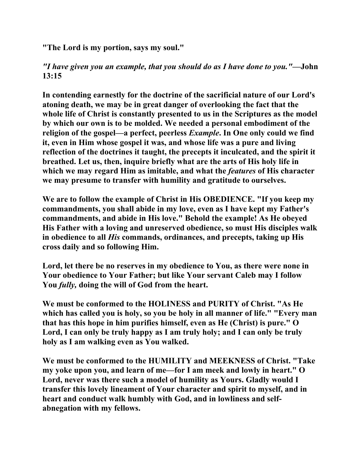**"The Lord is my portion, says my soul."** 

*"I have given you an example, that you should do as I have done to you."***—John 13:15** 

**In contending earnestly for the doctrine of the sacrificial nature of our Lord's atoning death, we may be in great danger of overlooking the fact that the whole life of Christ is constantly presented to us in the Scriptures as the model by which our own is to be molded. We needed a personal embodiment of the religion of the gospel—a perfect, peerless** *Example***. In One only could we find it, even in Him whose gospel it was, and whose life was a pure and living reflection of the doctrines it taught, the precepts it inculcated, and the spirit it breathed. Let us, then, inquire briefly what are the arts of His holy life in which we may regard Him as imitable, and what the** *features* **of His character we may presume to transfer with humility and gratitude to ourselves.** 

**We are to follow the example of Christ in His OBEDIENCE. "If you keep my commandments, you shall abide in my love, even as I have kept my Father's commandments, and abide in His love." Behold the example! As He obeyed His Father with a loving and unreserved obedience, so must His disciples walk in obedience to all** *His* **commands, ordinances, and precepts, taking up His cross daily and so following Him.** 

**Lord, let there be no reserves in my obedience to You, as there were none in Your obedience to Your Father; but like Your servant Caleb may I follow You** *fully,* **doing the will of God from the heart.** 

**We must be conformed to the HOLINESS and PURITY of Christ. "As He which has called you is holy, so you be holy in all manner of life." "Every man that has this hope in him purifies himself, even as He (Christ) is pure." O Lord, I can only be truly happy as I am truly holy; and I can only be truly holy as I am walking even as You walked.** 

**We must be conformed to the HUMILITY and MEEKNESS of Christ. "Take my yoke upon you, and learn of me—for I am meek and lowly in heart." O Lord, never was there such a model of humility as Yours. Gladly would I transfer this lovely lineament of Your character and spirit to myself, and in heart and conduct walk humbly with God, and in lowliness and selfabnegation with my fellows.**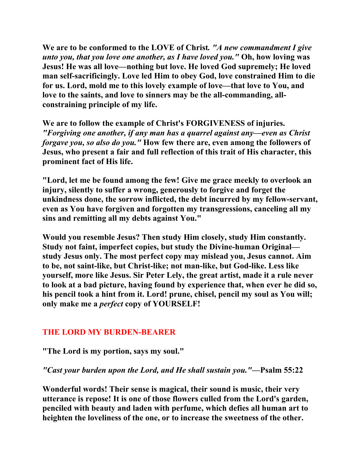**We are to be conformed to the LOVE of Christ***. "A new commandment I give unto you, that you love one another, as I have loved you."* **Oh, how loving was Jesus! He was all love—nothing but love. He loved God supremely; He loved man self-sacrificingly. Love led Him to obey God, love constrained Him to die for us. Lord, mold me to this lovely example of love—that love to You, and love to the saints, and love to sinners may be the all-commanding, allconstraining principle of my life.** 

**We are to follow the example of Christ's FORGIVENESS of injuries.** *"Forgiving one another, if any man has a quarrel against any—even as Christ forgave you, so also do you."* **How few there are, even among the followers of Jesus, who present a fair and full reflection of this trait of His character, this prominent fact of His life.** 

**"Lord, let me be found among the few! Give me grace meekly to overlook an injury, silently to suffer a wrong, generously to forgive and forget the unkindness done, the sorrow inflicted, the debt incurred by my fellow-servant, even as You have forgiven and forgotten my transgressions, canceling all my sins and remitting all my debts against You."** 

**Would you resemble Jesus? Then study Him closely, study Him constantly. Study not faint, imperfect copies, but study the Divine-human Original study Jesus only. The most perfect copy may mislead you, Jesus cannot. Aim to be, not saint-like, but Christ-like; not man-like, but God-like. Less like yourself, more like Jesus. Sir Peter Lely, the great artist, made it a rule never to look at a bad picture, having found by experience that, when ever he did so, his pencil took a hint from it. Lord! prune, chisel, pencil my soul as You will; only make me a** *perfect* **copy of YOURSELF!** 

## **THE LORD MY BURDEN-BEARER**

## **"The Lord is my portion, says my soul."**

## *"Cast your burden upon the Lord, and He shall sustain you."***—Psalm 55:22**

**Wonderful words! Their sense is magical, their sound is music, their very utterance is repose! It is one of those flowers culled from the Lord's garden, penciled with beauty and laden with perfume, which defies all human art to heighten the loveliness of the one, or to increase the sweetness of the other.**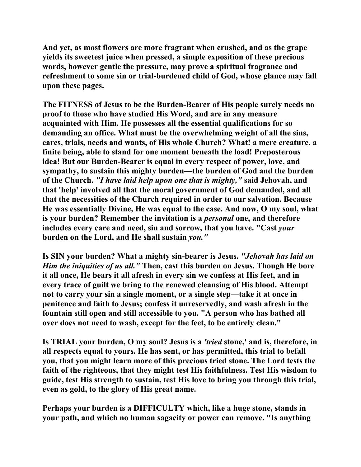**And yet, as most flowers are more fragrant when crushed, and as the grape yields its sweetest juice when pressed, a simple exposition of these precious words, however gentle the pressure, may prove a spiritual fragrance and refreshment to some sin or trial-burdened child of God, whose glance may fall upon these pages.** 

**The FITNESS of Jesus to be the Burden-Bearer of His people surely needs no proof to those who have studied His Word, and are in any measure acquainted with Him. He possesses all the essential qualifications for so demanding an office. What must be the overwhelming weight of all the sins, cares, trials, needs and wants, of His whole Church? What! a mere creature, a finite being, able to stand for one moment beneath the load! Preposterous idea! But our Burden-Bearer is equal in every respect of power, love, and sympathy, to sustain this mighty burden—the burden of God and the burden of the Church.** *"I have laid help upon one that is mighty,"* **said Jehovah, and that 'help' involved all that the moral government of God demanded, and all that the necessities of the Church required in order to our salvation. Because He was essentially Divine, He was equal to the case. And now, O my soul, what is your burden? Remember the invitation is a** *personal* **one, and therefore includes every care and need, sin and sorrow, that you have. "Cast** *your*  **burden on the Lord, and He shall sustain** *you."* 

**Is SIN your burden? What a mighty sin-bearer is Jesus.** *"Jehovah has laid on Him the iniquities of us all."* **Then, cast this burden on Jesus. Though He bore it all once, He bears it all afresh in every sin we confess at His feet, and in every trace of guilt we bring to the renewed cleansing of His blood. Attempt not to carry your sin a single moment, or a single step—take it at once in penitence and faith to Jesus; confess it unreservedly, and wash afresh in the fountain still open and still accessible to you. "A person who has bathed all over does not need to wash, except for the feet, to be entirely clean."** 

**Is TRIAL your burden, O my soul? Jesus is a** *'tried* **stone,' and is, therefore, in all respects equal to yours. He has sent, or has permitted, this trial to befall you, that you might learn more of this precious tried stone. The Lord tests the faith of the righteous, that they might test His faithfulness. Test His wisdom to guide, test His strength to sustain, test His love to bring you through this trial, even as gold, to the glory of His great name.** 

**Perhaps your burden is a DIFFICULTY which, like a huge stone, stands in your path, and which no human sagacity or power can remove. "Is anything**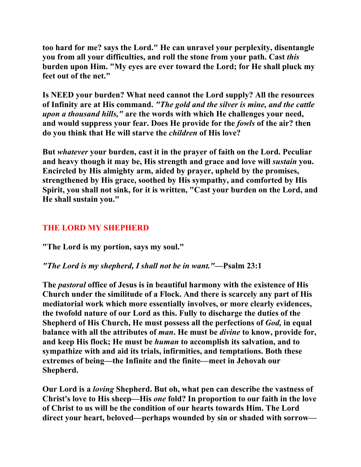**too hard for me? says the Lord." He can unravel your perplexity, disentangle you from all your difficulties, and roll the stone from your path. Cast** *this*  **burden upon Him. "My eyes are ever toward the Lord; for He shall pluck my feet out of the net."** 

**Is NEED your burden? What need cannot the Lord supply? All the resources of Infinity are at His command.** *"The gold and the silver is mine, and the cattle upon a thousand hills,"* **are the words with which He challenges your need, and would suppress your fear. Does He provide for the** *fowls* **of the air? then do you think that He will starve the** *children* **of His love?** 

**But** *whatever* **your burden, cast it in the prayer of faith on the Lord. Peculiar and heavy though it may be, His strength and grace and love will** *sustain* **you. Encircled by His almighty arm, aided by prayer, upheld by the promises, strengthened by His grace, soothed by His sympathy, and comforted by His Spirit, you shall not sink, for it is written, "Cast your burden on the Lord, and He shall sustain you."** 

# **THE LORD MY SHEPHERD**

**"The Lord is my portion, says my soul."** 

# *"The Lord is my shepherd, I shall not be in want."***—Psalm 23:1**

**The** *pastoral* **office of Jesus is in beautiful harmony with the existence of His Church under the similitude of a Flock. And there is scarcely any part of His mediatorial work which more essentially involves, or more clearly evidences, the twofold nature of our Lord as this. Fully to discharge the duties of the Shepherd of His Church, He must possess all the perfections of** *God,* **in equal balance with all the attributes of** *man***. He must be** *divine* **to know, provide for, and keep His flock; He must be** *human* **to accomplish its salvation, and to sympathize with and aid its trials, infirmities, and temptations. Both these extremes of being—the Infinite and the finite—meet in Jehovah our Shepherd.** 

**Our Lord is a** *loving* **Shepherd. But oh, what pen can describe the vastness of Christ's love to His sheep—His** *one* **fold? In proportion to our faith in the love of Christ to us will be the condition of our hearts towards Him. The Lord direct your heart, beloved—perhaps wounded by sin or shaded with sorrow—**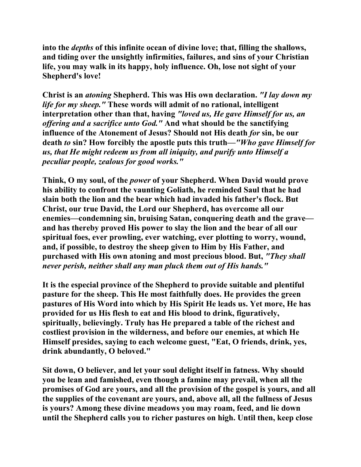**into the** *depths* **of this infinite ocean of divine love; that, filling the shallows, and tiding over the unsightly infirmities, failures, and sins of your Christian life, you may walk in its happy, holy influence. Oh, lose not sight of your Shepherd's love!** 

**Christ is an** *atoning* **Shepherd. This was His own declaration.** *"I lay down my life for my sheep."* **These words will admit of no rational, intelligent interpretation other than that, having** *"loved us, He gave Himself for us, an offering and a sacrifice unto God."* **And what should be the sanctifying influence of the Atonement of Jesus? Should not His death** *for* **sin, be our death** *to* **sin? How forcibly the apostle puts this truth—***"Who gave Himself for us, that He might redeem us from all iniquity, and purify unto Himself a peculiar people, zealous for good works."* 

**Think, O my soul, of the** *power* **of your Shepherd. When David would prove his ability to confront the vaunting Goliath, he reminded Saul that he had slain both the lion and the bear which had invaded his father's flock. But Christ, our true David, the Lord our Shepherd, has overcome all our enemies—condemning sin, bruising Satan, conquering death and the grave and has thereby proved His power to slay the lion and the bear of all our spiritual foes, ever prowling, ever watching, ever plotting to worry, wound, and, if possible, to destroy the sheep given to Him by His Father, and purchased with His own atoning and most precious blood. But,** *"They shall never perish, neither shall any man pluck them out of His hands."* 

**It is the especial province of the Shepherd to provide suitable and plentiful pasture for the sheep. This He most faithfully does. He provides the green pastures of His Word into which by His Spirit He leads us. Yet more, He has provided for us His flesh to eat and His blood to drink, figuratively, spiritually, believingly. Truly has He prepared a table of the richest and costliest provision in the wilderness, and before our enemies, at which He Himself presides, saying to each welcome guest, "Eat, O friends, drink, yes, drink abundantly, O beloved."** 

**Sit down, O believer, and let your soul delight itself in fatness. Why should you be lean and famished, even though a famine may prevail, when all the promises of God are yours, and all the provision of the gospel is yours, and all the supplies of the covenant are yours, and, above all, all the fullness of Jesus is yours? Among these divine meadows you may roam, feed, and lie down until the Shepherd calls you to richer pastures on high. Until then, keep close**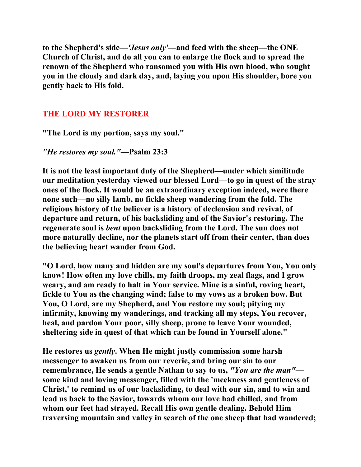**to the Shepherd's side—***'Jesus only'***—and feed with the sheep—the ONE Church of Christ, and do all you can to enlarge the flock and to spread the renown of the Shepherd who ransomed you with His own blood, who sought you in the cloudy and dark day, and, laying you upon His shoulder, bore you gently back to His fold.** 

# **THE LORD MY RESTORER**

**"The Lord is my portion, says my soul."** 

*"He restores my soul."***—Psalm 23:3** 

**It is not the least important duty of the Shepherd—under which similitude our meditation yesterday viewed our blessed Lord—to go in quest of the stray ones of the flock. It would be an extraordinary exception indeed, were there none such—no silly lamb, no fickle sheep wandering from the fold. The religious history of the believer is a history of declension and revival, of departure and return, of his backsliding and of the Savior's restoring. The regenerate soul is** *bent* **upon backsliding from the Lord. The sun does not more naturally decline, nor the planets start off from their center, than does the believing heart wander from God.** 

**"O Lord, how many and hidden are my soul's departures from You, You only know! How often my love chills, my faith droops, my zeal flags, and I grow weary, and am ready to halt in Your service. Mine is a sinful, roving heart, fickle to You as the changing wind; false to my vows as a broken bow. But You, O Lord, are my Shepherd, and You restore my soul; pitying my infirmity, knowing my wanderings, and tracking all my steps, You recover, heal, and pardon Your poor, silly sheep, prone to leave Your wounded, sheltering side in quest of that which can be found in Yourself alone."** 

**He restores us** *gently***. When He might justly commission some harsh messenger to awaken us from our reverie, and bring our sin to our remembrance, He sends a gentle Nathan to say to us,** *"You are the man"* **some kind and loving messenger, filled with the 'meekness and gentleness of Christ,' to remind us of our backsliding, to deal with our sin, and to win and lead us back to the Savior, towards whom our love had chilled, and from whom our feet had strayed. Recall His own gentle dealing. Behold Him traversing mountain and valley in search of the one sheep that had wandered;**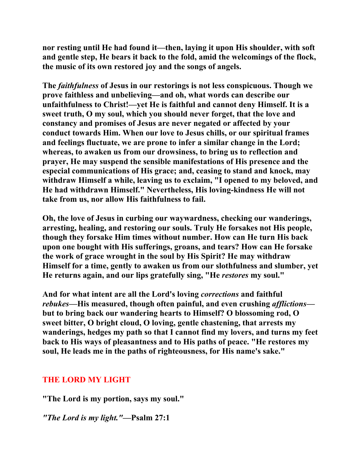**nor resting until He had found it—then, laying it upon His shoulder, with soft and gentle step, He bears it back to the fold, amid the welcomings of the flock, the music of its own restored joy and the songs of angels.** 

**The** *faithfulness* **of Jesus in our restorings is not less conspicuous. Though we prove faithless and unbelieving—and oh, what words can describe our unfaithfulness to Christ!—yet He is faithful and cannot deny Himself. It is a sweet truth, O my soul, which you should never forget, that the love and constancy and promises of Jesus are never negated or affected by your conduct towards Him. When our love to Jesus chills, or our spiritual frames and feelings fluctuate, we are prone to infer a similar change in the Lord; whereas, to awaken us from our drowsiness, to bring us to reflection and prayer, He may suspend the sensible manifestations of His presence and the especial communications of His grace; and, ceasing to stand and knock, may withdraw Himself a while, leaving us to exclaim, "I opened to my beloved, and He had withdrawn Himself." Nevertheless, His loving-kindness He will not take from us, nor allow His faithfulness to fail.** 

**Oh, the love of Jesus in curbing our waywardness, checking our wanderings, arresting, healing, and restoring our souls. Truly He forsakes not His people, though they forsake Him times without number. How can He turn His back upon one bought with His sufferings, groans, and tears? How can He forsake the work of grace wrought in the soul by His Spirit? He may withdraw Himself for a time, gently to awaken us from our slothfulness and slumber, yet He returns again, and our lips gratefully sing, "He** *restores* **my soul."** 

**And for what intent are all the Lord's loving** *corrections* **and faithful**  *rebukes***—His measured, though often painful, and even crushing** *afflictions* **but to bring back our wandering hearts to Himself? O blossoming rod, O sweet bitter, O bright cloud, O loving, gentle chastening, that arrests my wanderings, hedges my path so that I cannot find my lovers, and turns my feet back to His ways of pleasantness and to His paths of peace. "He restores my soul, He leads me in the paths of righteousness, for His name's sake."** 

## **THE LORD MY LIGHT**

**"The Lord is my portion, says my soul."** 

*"The Lord is my light."***—Psalm 27:1**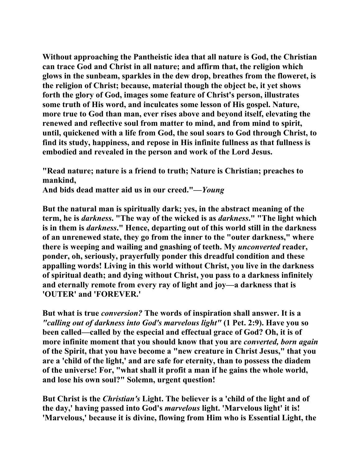**Without approaching the Pantheistic idea that all nature is God, the Christian can trace God and Christ in all nature; and affirm that, the religion which glows in the sunbeam, sparkles in the dew drop, breathes from the floweret, is the religion of Christ; because, material though the object be, it yet shows forth the glory of God, images some feature of Christ's person, illustrates some truth of His word, and inculcates some lesson of His gospel. Nature, more true to God than man, ever rises above and beyond itself, elevating the renewed and reflective soul from matter to mind, and from mind to spirit, until, quickened with a life from God, the soul soars to God through Christ, to find its study, happiness, and repose in His infinite fullness as that fullness is embodied and revealed in the person and work of the Lord Jesus.** 

**"Read nature; nature is a friend to truth; Nature is Christian; preaches to mankind, And bids dead matter aid us in our creed."—***Young* 

**But the natural man is spiritually dark; yes, in the abstract meaning of the term, he is** *darkness***. "The way of the wicked is as** *darkness***." "The light which is in them is** *darkness***." Hence, departing out of this world still in the darkness of an unrenewed state, they go from the inner to the "outer darkness," where there is weeping and wailing and gnashing of teeth. My** *unconverted* **reader, ponder, oh, seriously, prayerfully ponder this dreadful condition and these appalling words! Living in this world without Christ, you live in the darkness of spiritual death; and dying without Christ, you pass to a darkness infinitely and eternally remote from every ray of light and joy—a darkness that is 'OUTER' and 'FOREVER.'** 

**But what is true** *conversion?* **The words of inspiration shall answer. It is a**  *"calling out of darkness into God's marvelous light"* **(1 Pet. 2:9). Have you so been called—called by the especial and effectual grace of God? Oh, it is of more infinite moment that you should know that you are** *converted, born again*  **of the Spirit, that you have become a "new creature in Christ Jesus," that you are a 'child of the light,' and are safe for eternity, than to possess the diadem of the universe! For, "what shall it profit a man if he gains the whole world, and lose his own soul?" Solemn, urgent question!** 

**But Christ is the** *Christian's* **Light. The believer is a 'child of the light and of the day,' having passed into God's** *marvelous* **light. 'Marvelous light' it is! 'Marvelous,' because it is divine, flowing from Him who is Essential Light, the**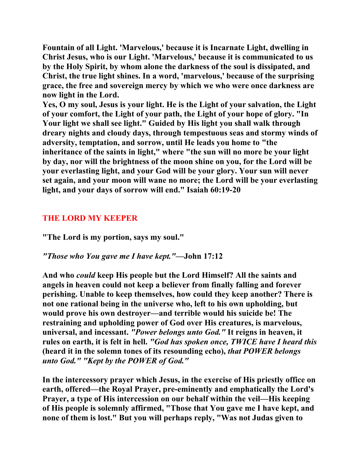**Fountain of all Light. 'Marvelous,' because it is Incarnate Light, dwelling in Christ Jesus, who is our Light. 'Marvelous,' because it is communicated to us by the Holy Spirit, by whom alone the darkness of the soul is dissipated, and Christ, the true light shines. In a word, 'marvelous,' because of the surprising grace, the free and sovereign mercy by which we who were once darkness are now light in the Lord.** 

**Yes, O my soul, Jesus is your light. He is the Light of your salvation, the Light of your comfort, the Light of your path, the Light of your hope of glory. "In Your light we shall see light." Guided by His light you shall walk through dreary nights and cloudy days, through tempestuous seas and stormy winds of adversity, temptation, and sorrow, until He leads you home to "the inheritance of the saints in light," where "the sun will no more be your light by day, nor will the brightness of the moon shine on you, for the Lord will be your everlasting light, and your God will be your glory. Your sun will never set again, and your moon will wane no more; the Lord will be your everlasting light, and your days of sorrow will end." Isaiah 60:19-20** 

# **THE LORD MY KEEPER**

**"The Lord is my portion, says my soul."** 

# *"Those who You gave me I have kept."***—John 17:12**

**And who** *could* **keep His people but the Lord Himself? All the saints and angels in heaven could not keep a believer from finally falling and forever perishing. Unable to keep themselves, how could they keep another? There is not one rational being in the universe who, left to his own upholding, but would prove his own destroyer—and terrible would his suicide be! The restraining and upholding power of God over His creatures, is marvelous, universal, and incessant.** *"Power belongs unto God."* **It reigns in heaven, it rules on earth, it is felt in hell.** *"God has spoken once, TWICE have I heard this*  **(heard it in the solemn tones of its resounding echo),** *that POWER belongs unto God." "Kept by the POWER of God."* 

**In the intercessory prayer which Jesus, in the exercise of His priestly office on earth, offered—the Royal Prayer, pre-eminently and emphatically the Lord's Prayer, a type of His intercession on our behalf within the veil—His keeping of His people is solemnly affirmed, "Those that You gave me I have kept, and none of them is lost." But you will perhaps reply, "Was not Judas given to**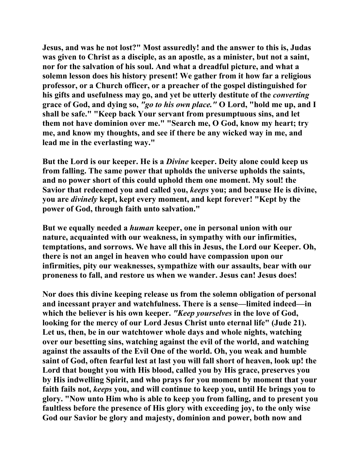**Jesus, and was he not lost?" Most assuredly! and the answer to this is, Judas was given to Christ as a disciple, as an apostle, as a minister, but not a saint, nor for the salvation of his soul. And what a dreadful picture, and what a solemn lesson does his history present! We gather from it how far a religious professor, or a Church officer, or a preacher of the gospel distinguished for his gifts and usefulness may go, and yet be utterly destitute of the** *converting*  **grace of God, and dying so,** *"go to his own place."* **O Lord, "hold me up, and I shall be safe." "Keep back Your servant from presumptuous sins, and let them not have dominion over me." "Search me, O God, know my heart; try me, and know my thoughts, and see if there be any wicked way in me, and lead me in the everlasting way."** 

**But the Lord is our keeper. He is a** *Divine* **keeper. Deity alone could keep us from falling. The same power that upholds the universe upholds the saints, and no power short of this could uphold them one moment. My soul! the Savior that redeemed you and called you,** *keeps* **you; and because He is divine, you are** *divinely* **kept, kept every moment, and kept forever! "Kept by the power of God, through faith unto salvation."** 

**But we equally needed a** *human* **keeper, one in personal union with our nature, acquainted with our weakness, in sympathy with our infirmities, temptations, and sorrows. We have all this in Jesus, the Lord our Keeper. Oh, there is not an angel in heaven who could have compassion upon our infirmities, pity our weaknesses, sympathize with our assaults, bear with our proneness to fall, and restore us when we wander. Jesus can! Jesus does!** 

**Nor does this divine keeping release us from the solemn obligation of personal and incessant prayer and watchfulness. There is a sense—limited indeed—in which the believer is his own keeper.** *"Keep yourselves* **in the love of God, looking for the mercy of our Lord Jesus Christ unto eternal life" (Jude 21). Let us, then, be in our watchtower whole days and whole nights, watching over our besetting sins, watching against the evil of the world, and watching against the assaults of the Evil One of the world. Oh, you weak and humble saint of God, often fearful lest at last you will fall short of heaven, look up! the Lord that bought you with His blood, called you by His grace, preserves you by His indwelling Spirit, and who prays for you moment by moment that your faith fails not,** *keeps* **you, and will continue to keep you, until He brings you to glory. "Now unto Him who is able to keep you from falling, and to present you faultless before the presence of His glory with exceeding joy, to the only wise God our Savior be glory and majesty, dominion and power, both now and**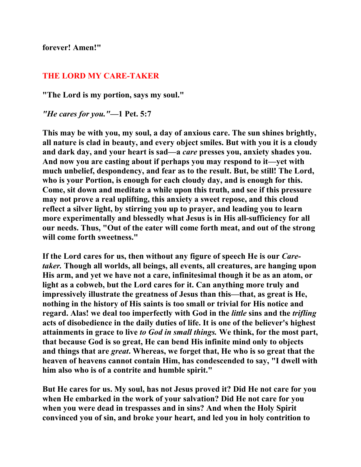**forever! Amen!"** 

#### **THE LORD MY CARE-TAKER**

**"The Lord is my portion, says my soul."** 

*"He cares for you."***—1 Pet. 5:7** 

**This may be with you, my soul, a day of anxious care. The sun shines brightly, all nature is clad in beauty, and every object smiles. But with you it is a cloudy and dark day, and your heart is sad—a** *care* **presses you, anxiety shades you. And now you are casting about if perhaps you may respond to it—yet with much unbelief, despondency, and fear as to the result. But, be still! The Lord, who is your Portion, is enough for each cloudy day, and is enough for this. Come, sit down and meditate a while upon this truth, and see if this pressure may not prove a real uplifting, this anxiety a sweet repose, and this cloud reflect a silver light, by stirring you up to prayer, and leading you to learn more experimentally and blessedly what Jesus is in His all-sufficiency for all our needs. Thus, "Out of the eater will come forth meat, and out of the strong will come forth sweetness."** 

**If the Lord cares for us, then without any figure of speech He is our** *Caretaker.* **Though all worlds, all beings, all events, all creatures, are hanging upon His arm, and yet we have not a care, infinitesimal though it be as an atom, or light as a cobweb, but the Lord cares for it. Can anything more truly and impressively illustrate the greatness of Jesus than this—that, as great is He, nothing in the history of His saints is too small or trivial for His notice and regard. Alas! we deal too imperfectly with God in the** *little* **sins and the** *trifling*  **acts of disobedience in the daily duties of life. It is one of the believer's highest attainments in grace to live** *to God in small things.* **We think, for the most part, that because God is so great, He can bend His infinite mind only to objects and things that are** *great***. Whereas, we forget that, He who is so great that the heaven of heavens cannot contain Him, has condescended to say, "I dwell with him also who is of a contrite and humble spirit."** 

**But He cares for us. My soul, has not Jesus proved it? Did He not care for you when He embarked in the work of your salvation? Did He not care for you when you were dead in trespasses and in sins? And when the Holy Spirit convinced you of sin, and broke your heart, and led you in holy contrition to**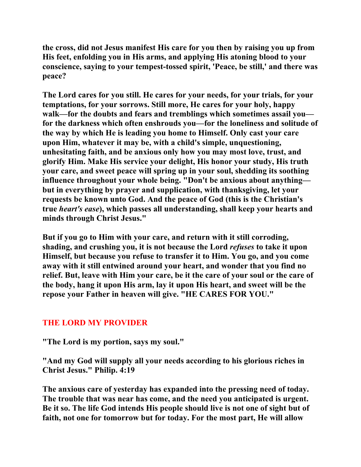**the cross, did not Jesus manifest His care for you then by raising you up from His feet, enfolding you in His arms, and applying His atoning blood to your conscience, saying to your tempest-tossed spirit, 'Peace, be still,' and there was peace?** 

**The Lord cares for you still. He cares for your needs, for your trials, for your temptations, for your sorrows. Still more, He cares for your holy, happy walk—for the doubts and fears and tremblings which sometimes assail you for the darkness which often enshrouds you—for the loneliness and solitude of the way by which He is leading you home to Himself. Only cast your care upon Him, whatever it may be, with a child's simple, unquestioning, unhesitating faith, and be anxious only how you may most love, trust, and glorify Him. Make His service your delight, His honor your study, His truth your care, and sweet peace will spring up in your soul, shedding its soothing influence throughout your whole being. "Don't be anxious about anything but in everything by prayer and supplication, with thanksgiving, let your requests be known unto God. And the peace of God (this is the Christian's true** *heart's ease***), which passes all understanding, shall keep your hearts and minds through Christ Jesus."** 

**But if you go to Him with your care, and return with it still corroding, shading, and crushing you, it is not because the Lord** *refuses* **to take it upon Himself, but because you refuse to transfer it to Him. You go, and you come away with it still entwined around your heart, and wonder that you find no relief. But, leave with Him your care, be it the care of your soul or the care of the body, hang it upon His arm, lay it upon His heart, and sweet will be the repose your Father in heaven will give. "HE CARES FOR YOU."** 

# **THE LORD MY PROVIDER**

**"The Lord is my portion, says my soul."** 

**"And my God will supply all your needs according to his glorious riches in Christ Jesus." Philip. 4:19** 

**The anxious care of yesterday has expanded into the pressing need of today. The trouble that was near has come, and the need you anticipated is urgent. Be it so. The life God intends His people should live is not one of sight but of faith, not one for tomorrow but for today. For the most part, He will allow**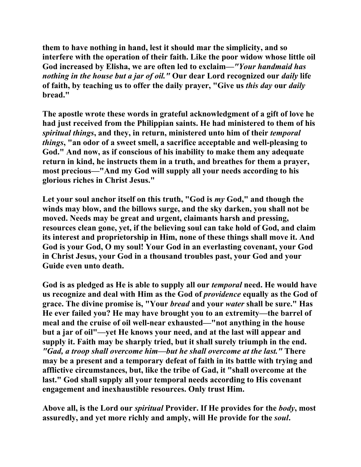**them to have nothing in hand, lest it should mar the simplicity, and so interfere with the operation of their faith. Like the poor widow whose little oil God increased by Elisha, we are often led to exclaim—***"Your handmaid has nothing in the house but a jar of oil."* **Our dear Lord recognized our** *daily* **life of faith, by teaching us to offer the daily prayer, "Give us** *this day* **our** *daily*  **bread."** 

**The apostle wrote these words in grateful acknowledgment of a gift of love he had just received from the Philippian saints. He had ministered to them of his**  *spiritual things***, and they, in return, ministered unto him of their** *temporal things***, "an odor of a sweet smell, a sacrifice acceptable and well-pleasing to God." And now, as if conscious of his inability to make them any adequate return in kind, he instructs them in a truth, and breathes for them a prayer, most precious—"And my God will supply all your needs according to his glorious riches in Christ Jesus."** 

Let your soul anchor itself on this truth, "God is *my* God," and though the **winds may blow, and the billows surge, and the sky darken, you shall not be moved. Needs may be great and urgent, claimants harsh and pressing, resources clean gone, yet, if the believing soul can take hold of God, and claim its interest and proprietorship in Him, none of these things shall move it. And God is your God, O my soul! Your God in an everlasting covenant, your God in Christ Jesus, your God in a thousand troubles past, your God and your Guide even unto death.** 

**God is as pledged as He is able to supply all our** *temporal* **need. He would have us recognize and deal with Him as the God of** *providence* **equally as the God of grace. The divine promise is, "Your** *bread* **and your** *water* **shall be sure." Has He ever failed you? He may have brought you to an extremity—the barrel of meal and the cruise of oil well-near exhausted—"not anything in the house but a jar of oil"—yet He knows your need, and at the last will appear and supply it. Faith may be sharply tried, but it shall surely triumph in the end.**  *"Gad, a troop shall overcome him—but he shall overcome at the last."* **There may be a present and a temporary defeat of faith in its battle with trying and afflictive circumstances, but, like the tribe of Gad, it "shall overcome at the last." God shall supply all your temporal needs according to His covenant engagement and inexhaustible resources. Only trust Him.** 

**Above all, is the Lord our** *spiritual* **Provider. If He provides for the** *body***, most assuredly, and yet more richly and amply, will He provide for the** *soul***.**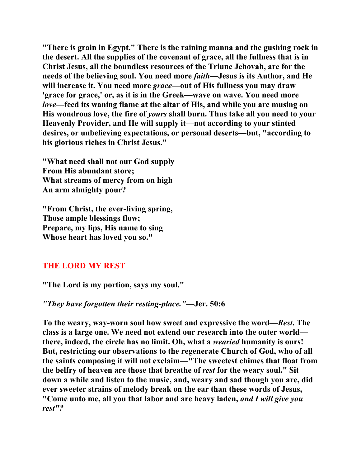**"There is grain in Egypt." There is the raining manna and the gushing rock in the desert. All the supplies of the covenant of grace, all the fullness that is in Christ Jesus, all the boundless resources of the Triune Jehovah, are for the needs of the believing soul. You need more** *faith***—Jesus is its Author, and He will increase it. You need more** *grace***—out of His fullness you may draw 'grace for grace,' or, as it is in the Greek—wave on wave. You need more**  *love***—feed its waning flame at the altar of His, and while you are musing on His wondrous love, the fire of** *yours* **shall burn. Thus take all you need to your Heavenly Provider, and He will supply it—not according to your stinted desires, or unbelieving expectations, or personal deserts—but, "according to his glorious riches in Christ Jesus."** 

**"What need shall not our God supply From His abundant store; What streams of mercy from on high An arm almighty pour?** 

**"From Christ, the ever-living spring, Those ample blessings flow; Prepare, my lips, His name to sing Whose heart has loved you so."** 

## **THE LORD MY REST**

**"The Lord is my portion, says my soul."** 

#### *"They have forgotten their resting-place."***—Jer. 50:6**

**To the weary, way-worn soul how sweet and expressive the word—***Rest***. The class is a large one. We need not extend our research into the outer world there, indeed, the circle has no limit. Oh, what a** *wearied* **humanity is ours! But, restricting our observations to the regenerate Church of God, who of all the saints composing it will not exclaim—"The sweetest chimes that float from the belfry of heaven are those that breathe of** *rest* **for the weary soul." Sit down a while and listen to the music, and, weary and sad though you are, did ever sweeter strains of melody break on the ear than these words of Jesus, "Come unto me, all you that labor and are heavy laden,** *and I will give you rest"?*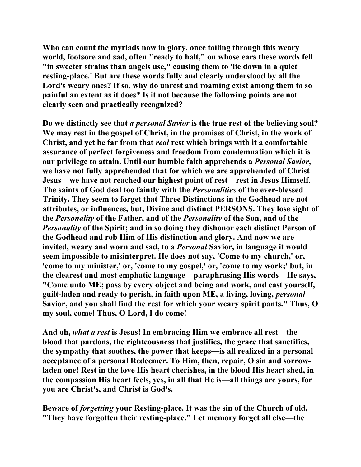**Who can count the myriads now in glory, once toiling through this weary world, footsore and sad, often "ready to halt," on whose ears these words fell "in sweeter strains than angels use," causing them to 'lie down in a quiet resting-place.' But are these words fully and clearly understood by all the Lord's weary ones? If so, why do unrest and roaming exist among them to so painful an extent as it does? Is it not because the following points are not clearly seen and practically recognized?** 

**Do we distinctly see that** *a personal Savior* **is the true rest of the believing soul? We may rest in the gospel of Christ, in the promises of Christ, in the work of Christ, and yet be far from that** *real* **rest which brings with it a comfortable assurance of perfect forgiveness and freedom from condemnation which it is our privilege to attain. Until our humble faith apprehends a** *Personal Savior***, we have not fully apprehended that for which we are apprehended of Christ Jesus—we have not reached our highest point of rest—rest in Jesus Himself. The saints of God deal too faintly with the** *Personalities* **of the ever-blessed Trinity. They seem to forget that Three Distinctions in the Godhead are not attributes, or influences, but, Divine and distinct PERSONS. They lose sight of the** *Personality* **of the Father, and of the** *Personality* **of the Son, and of the**  *Personality* **of the Spirit; and in so doing they dishonor each distinct Person of the Godhead and rob Him of His distinction and glory. And now we are invited, weary and worn and sad, to a** *Personal* **Savior, in language it would seem impossible to misinterpret. He does not say, 'Come to my church,' or, 'come to my minister,' or, 'come to my gospel,' or, 'come to my work;' but, in the clearest and most emphatic language—paraphrasing His words—He says, "Come unto ME; pass by every object and being and work, and cast yourself, guilt-laden and ready to perish, in faith upon ME, a living, loving,** *personal*  **Savior, and you shall find the rest for which your weary spirit pants." Thus, O my soul, come! Thus, O Lord, I do come!** 

**And oh,** *what a rest* **is Jesus! In embracing Him we embrace all rest—the blood that pardons, the righteousness that justifies, the grace that sanctifies, the sympathy that soothes, the power that keeps—is all realized in a personal acceptance of a personal Redeemer. To Him, then, repair, O sin and sorrowladen one! Rest in the love His heart cherishes, in the blood His heart shed, in the compassion His heart feels, yes, in all that He is—all things are yours, for you are Christ's, and Christ is God's.** 

**Beware of** *forgetting* **your Resting-place. It was the sin of the Church of old, "They have forgotten their resting-place." Let memory forget all else—the**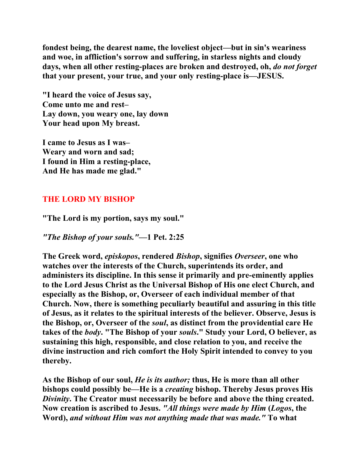**fondest being, the dearest name, the loveliest object—but in sin's weariness and woe, in affliction's sorrow and suffering, in starless nights and cloudy days, when all other resting-places are broken and destroyed, oh,** *do not forget*  **that your present, your true, and your only resting-place is—JESUS.** 

**"I heard the voice of Jesus say, Come unto me and rest– Lay down, you weary one, lay down Your head upon My breast.** 

**I came to Jesus as I was– Weary and worn and sad; I found in Him a resting-place, And He has made me glad."** 

## **THE LORD MY BISHOP**

**"The Lord is my portion, says my soul."** 

*"The Bishop of your souls."***—1 Pet. 2:25** 

**The Greek word,** *episkopos***, rendered** *Bishop***, signifies** *Overseer***, one who watches over the interests of the Church, superintends its order, and administers its discipline. In this sense it primarily and pre-eminently applies to the Lord Jesus Christ as the Universal Bishop of His one elect Church, and especially as the Bishop, or, Overseer of each individual member of that Church. Now, there is something peculiarly beautiful and assuring in this title of Jesus, as it relates to the spiritual interests of the believer. Observe, Jesus is the Bishop, or, Overseer of the** *soul***, as distinct from the providential care He takes of the** *body***. "The Bishop of your** *souls***." Study your Lord, O believer, as sustaining this high, responsible, and close relation to you, and receive the divine instruction and rich comfort the Holy Spirit intended to convey to you thereby.** 

**As the Bishop of our soul,** *He is its author;* **thus, He is more than all other bishops could possibly be—He is a** *creating* **bishop. Thereby Jesus proves His**  *Divinity***. The Creator must necessarily be before and above the thing created. Now creation is ascribed to Jesus.** *"All things were made by Him* **(***Logos***, the Word),** *and without Him was not anything made that was made."* **To what**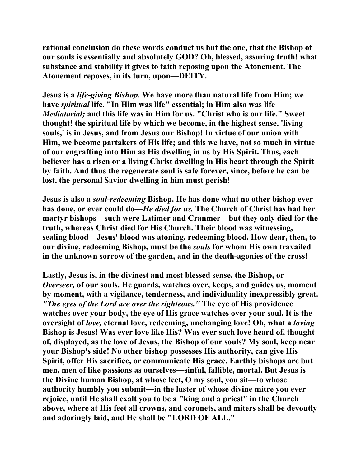**rational conclusion do these words conduct us but the one, that the Bishop of our souls is essentially and absolutely GOD? Oh, blessed, assuring truth! what substance and stability it gives to faith reposing upon the Atonement. The Atonement reposes, in its turn, upon—DEITY.** 

**Jesus is a** *life-giving Bishop.* **We have more than natural life from Him; we have** *spiritual* **life. "In Him was life" essential; in Him also was life**  *Mediatorial;* **and this life was in Him for us. "Christ who is our life." Sweet thought! the spiritual life by which we become, in the highest sense, 'living souls,' is in Jesus, and from Jesus our Bishop! In virtue of our union with Him, we become partakers of His life; and this we have, not so much in virtue of our engrafting into Him as His dwelling in us by His Spirit. Thus, each believer has a risen or a living Christ dwelling in His heart through the Spirit by faith. And thus the regenerate soul is safe forever, since, before he can be lost, the personal Savior dwelling in him must perish!** 

**Jesus is also a** *soul-redeeming* **Bishop. He has done what no other bishop ever has done, or ever could do—***He died for us.* **The Church of Christ has had her martyr bishops—such were Latimer and Cranmer—but they only died for the truth, whereas Christ died for His Church. Their blood was witnessing, sealing blood—Jesus' blood was atoning, redeeming blood. How dear, then, to our divine, redeeming Bishop, must be the** *souls* **for whom His own travailed in the unknown sorrow of the garden, and in the death-agonies of the cross!** 

**Lastly, Jesus is, in the divinest and most blessed sense, the Bishop, or**  *Overseer,* **of our souls. He guards, watches over, keeps, and guides us, moment by moment, with a vigilance, tenderness, and individuality inexpressibly great.**  *"The eyes of the Lord are over the righteous."* **The eye of His providence watches over your body, the eye of His grace watches over your soul. It is the oversight of** *love,* **eternal love, redeeming, unchanging love! Oh, what a** *loving*  **Bishop is Jesus! Was ever love like His? Was ever such love heard of, thought of, displayed, as the love of Jesus, the Bishop of our souls? My soul, keep near your Bishop's side! No other bishop possesses His authority, can give His Spirit, offer His sacrifice, or communicate His grace. Earthly bishops are but men, men of like passions as ourselves—sinful, fallible, mortal. But Jesus is the Divine human Bishop, at whose feet, O my soul, you sit—to whose authority humbly you submit—in the luster of whose divine mitre you ever rejoice, until He shall exalt you to be a "king and a priest" in the Church above, where at His feet all crowns, and coronets, and miters shall be devoutly and adoringly laid, and He shall be "LORD OF ALL."**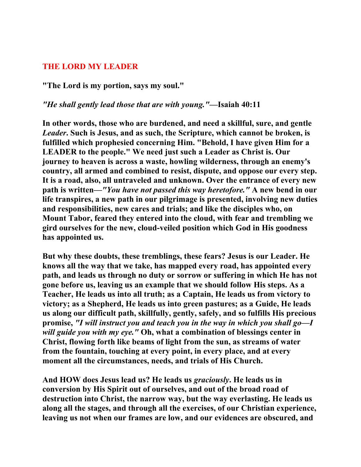#### **THE LORD MY LEADER**

**"The Lord is my portion, says my soul."** 

#### *"He shall gently lead those that are with young."***—Isaiah 40:11**

**In other words, those who are burdened, and need a skillful, sure, and gentle**  *Leader***. Such is Jesus, and as such, the Scripture, which cannot be broken, is fulfilled which prophesied concerning Him. "Behold, I have given Him for a LEADER to the people." We need just such a Leader as Christ is. Our journey to heaven is across a waste, howling wilderness, through an enemy's country, all armed and combined to resist, dispute, and oppose our every step. It is a road, also, all untraveled and unknown. Over the entrance of every new path is written—***"You have not passed this way heretofore."* **A new bend in our life transpires, a new path in our pilgrimage is presented, involving new duties and responsibilities, new cares and trials; and like the disciples who, on Mount Tabor, feared they entered into the cloud, with fear and trembling we gird ourselves for the new, cloud-veiled position which God in His goodness has appointed us.** 

**But why these doubts, these tremblings, these fears? Jesus is our Leader. He knows all the way that we take, has mapped every road, has appointed every path, and leads us through no duty or sorrow or suffering in which He has not gone before us, leaving us an example that we should follow His steps. As a Teacher, He leads us into all truth; as a Captain, He leads us from victory to victory; as a Shepherd, He leads us into green pastures; as a Guide, He leads us along our difficult path, skillfully, gently, safely, and so fulfills His precious promise,** *"I will instruct you and teach you in the way in which you shall go—I will guide you with my eye."* **Oh, what a combination of blessings center in Christ, flowing forth like beams of light from the sun, as streams of water from the fountain, touching at every point, in every place, and at every moment all the circumstances, needs, and trials of His Church.** 

**And HOW does Jesus lead us? He leads us** *graciously***. He leads us in conversion by His Spirit out of ourselves, and out of the broad road of destruction into Christ, the narrow way, but the way everlasting. He leads us along all the stages, and through all the exercises, of our Christian experience, leaving us not when our frames are low, and our evidences are obscured, and**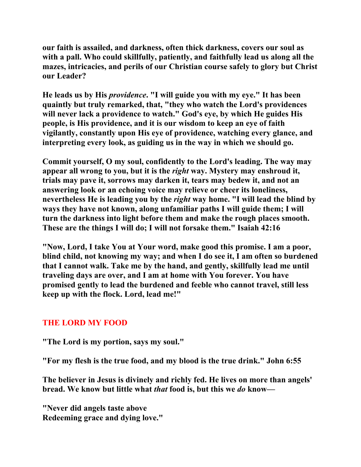**our faith is assailed, and darkness, often thick darkness, covers our soul as with a pall. Who could skillfully, patiently, and faithfully lead us along all the mazes, intricacies, and perils of our Christian course safely to glory but Christ our Leader?** 

**He leads us by His** *providence***. "I will guide you with my eye." It has been quaintly but truly remarked, that, "they who watch the Lord's providences will never lack a providence to watch." God's eye, by which He guides His people, is His providence, and it is our wisdom to keep an eye of faith vigilantly, constantly upon His eye of providence, watching every glance, and interpreting every look, as guiding us in the way in which we should go.** 

**Commit yourself, O my soul, confidently to the Lord's leading. The way may appear all wrong to you, but it is the** *right* **way. Mystery may enshroud it, trials may pave it, sorrows may darken it, tears may bedew it, and not an answering look or an echoing voice may relieve or cheer its loneliness, nevertheless He is leading you by the** *right* **way home. "I will lead the blind by ways they have not known, along unfamiliar paths I will guide them; I will turn the darkness into light before them and make the rough places smooth. These are the things I will do; I will not forsake them." Isaiah 42:16** 

**"Now, Lord, I take You at Your word, make good this promise. I am a poor, blind child, not knowing my way; and when I do see it, I am often so burdened that I cannot walk. Take me by the hand, and gently, skillfully lead me until traveling days are over, and I am at home with You forever. You have promised gently to lead the burdened and feeble who cannot travel, still less keep up with the flock. Lord, lead me!"** 

# **THE LORD MY FOOD**

**"The Lord is my portion, says my soul."** 

**"For my flesh is the true food, and my blood is the true drink." John 6:55** 

**The believer in Jesus is divinely and richly fed. He lives on more than angels' bread. We know but little what** *that* **food is, but this we** *do* **know—** 

**"Never did angels taste above Redeeming grace and dying love."**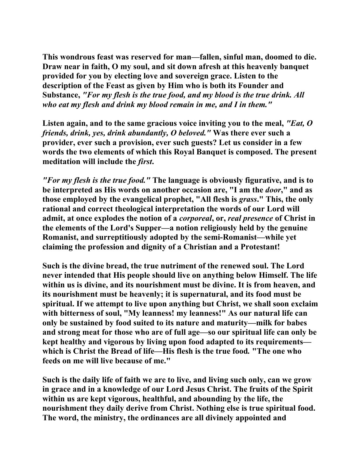**This wondrous feast was reserved for man—fallen, sinful man, doomed to die. Draw near in faith, O my soul, and sit down afresh at this heavenly banquet provided for you by electing love and sovereign grace. Listen to the description of the Feast as given by Him who is both its Founder and Substance,** *"For my flesh is the true food, and my blood is the true drink. All who eat my flesh and drink my blood remain in me, and I in them."* 

**Listen again, and to the same gracious voice inviting you to the meal,** *"Eat, O friends, drink, yes, drink abundantly, O beloved."* **Was there ever such a provider, ever such a provision, ever such guests? Let us consider in a few words the two elements of which this Royal Banquet is composed. The present meditation will include the** *first***.** 

*"For my flesh is the true food."* **The language is obviously figurative, and is to be interpreted as His words on another occasion are, "I am the** *door***," and as those employed by the evangelical prophet, "All flesh is** *grass***." This, the only rational and correct theological interpretation the words of our Lord will admit, at once explodes the notion of a** *corporeal***, or,** *real presence* **of Christ in the elements of the Lord's Supper—a notion religiously held by the genuine Romanist, and surreptitiously adopted by the semi-Romanist—while yet claiming the profession and dignity of a Christian and a Protestant!** 

**Such is the divine bread, the true nutriment of the renewed soul. The Lord never intended that His people should live on anything below Himself. The life within us is divine, and its nourishment must be divine. It is from heaven, and its nourishment must be heavenly; it is supernatural, and its food must be spiritual. If we attempt to live upon anything but Christ, we shall soon exclaim with bitterness of soul, "My leanness! my leanness!" As our natural life can only be sustained by food suited to its nature and maturity—milk for babes and strong meat for those who are of full age—so our spiritual life can only be kept healthy and vigorous by living upon food adapted to its requirements which is Christ the Bread of life—His flesh is the true food***.* **"The one who feeds on me will live because of me."** 

**Such is the daily life of faith we are to live, and living such only, can we grow in grace and in a knowledge of our Lord Jesus Christ. The fruits of the Spirit within us are kept vigorous, healthful, and abounding by the life, the nourishment they daily derive from Christ. Nothing else is true spiritual food. The word, the ministry, the ordinances are all divinely appointed and**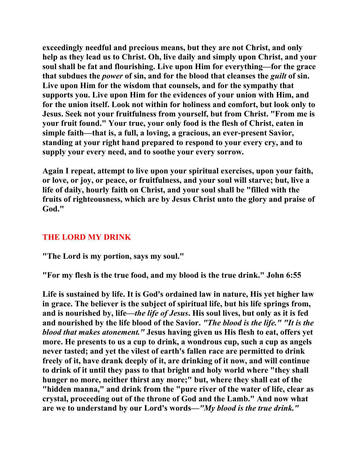**exceedingly needful and precious means, but they are not Christ, and only help as they lead us to Christ. Oh, live daily and simply upon Christ, and your soul shall be fat and flourishing. Live upon Him for everything—for the grace that subdues the** *power* **of sin, and for the blood that cleanses the** *guilt* **of sin. Live upon Him for the wisdom that counsels, and for the sympathy that supports you. Live upon Him for the evidences of your union with Him, and for the union itself. Look not within for holiness and comfort, but look only to Jesus. Seek not your fruitfulness from yourself, but from Christ. "From me is your fruit found." Your true, your only food is the flesh of Christ, eaten in simple faith—that is, a full, a loving, a gracious, an ever-present Savior, standing at your right hand prepared to respond to your every cry, and to supply your every need, and to soothe your every sorrow.** 

**Again I repeat, attempt to live upon your spiritual exercises, upon your faith, or love, or joy, or peace, or fruitfulness, and your soul will starve; but, live a life of daily, hourly faith on Christ, and your soul shall be "filled with the fruits of righteousness, which are by Jesus Christ unto the glory and praise of God."** 

# **THE LORD MY DRINK**

**"The Lord is my portion, says my soul."** 

**"For my flesh is the true food, and my blood is the true drink." John 6:55** 

**Life is sustained by life. It is God's ordained law in nature, His yet higher law in grace. The believer is the subject of spiritual life, but his life springs from, and is nourished by, life—***the life of Jesus***. His soul lives, but only as it is fed and nourished by the life blood of the Savior.** *"The blood is the life." "It is the blood that makes atonement."* **Jesus having given us His flesh to eat, offers yet more. He presents to us a cup to drink, a wondrous cup, such a cup as angels never tasted; and yet the vilest of earth's fallen race are permitted to drink freely of it, have drank deeply of it, are drinking of it now, and will continue to drink of it until they pass to that bright and holy world where "they shall hunger no more, neither thirst any more;" but, where they shall eat of the "hidden manna," and drink from the "pure river of the water of life, clear as crystal, proceeding out of the throne of God and the Lamb." And now what are we to understand by our Lord's words—***"My blood is the true drink."*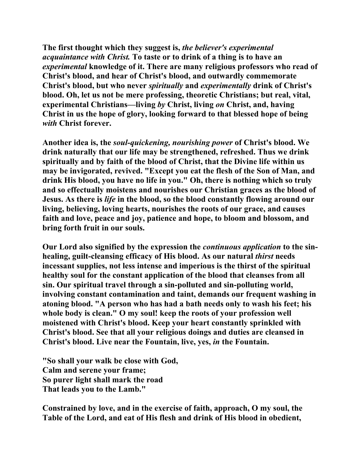**The first thought which they suggest is,** *the believer's experimental acquaintance with Christ.* **To taste or to drink of a thing is to have an**  *experimental* **knowledge of it. There are many religious professors who read of Christ's blood, and hear of Christ's blood, and outwardly commemorate Christ's blood, but who never** *spiritually* **and** *experimentally* **drink of Christ's blood. Oh, let us not be mere professing, theoretic Christians; but real, vital, experimental Christians—living** *by* **Christ, living** *on* **Christ, and, having Christ in us the hope of glory, looking forward to that blessed hope of being**  *with* **Christ forever.** 

**Another idea is, the** *soul-quickening, nourishing power* **of Christ's blood. We drink naturally that our life may be strengthened, refreshed. Thus we drink spiritually and by faith of the blood of Christ, that the Divine life within us may be invigorated, revived. "Except you eat the flesh of the Son of Man, and drink His blood, you have no life in you." Oh, there is nothing which so truly and so effectually moistens and nourishes our Christian graces as the blood of Jesus. As there is** *life* **in the blood, so the blood constantly flowing around our living, believing, loving hearts, nourishes the roots of our grace, and causes faith and love, peace and joy, patience and hope, to bloom and blossom, and bring forth fruit in our souls.** 

**Our Lord also signified by the expression the** *continuous application* **to the sinhealing, guilt-cleansing efficacy of His blood. As our natural** *thirst* **needs incessant supplies, not less intense and imperious is the thirst of the spiritual healthy soul for the constant application of the blood that cleanses from all sin. Our spiritual travel through a sin-polluted and sin-polluting world, involving constant contamination and taint, demands our frequent washing in atoning blood. "A person who has had a bath needs only to wash his feet; his whole body is clean." O my soul! keep the roots of your profession well moistened with Christ's blood. Keep your heart constantly sprinkled with Christ's blood. See that all your religious doings and duties are cleansed in Christ's blood. Live near the Fountain, live, yes,** *in* **the Fountain.** 

**"So shall your walk be close with God, Calm and serene your frame; So purer light shall mark the road That leads you to the Lamb."** 

**Constrained by love, and in the exercise of faith, approach, O my soul, the Table of the Lord, and eat of His flesh and drink of His blood in obedient,**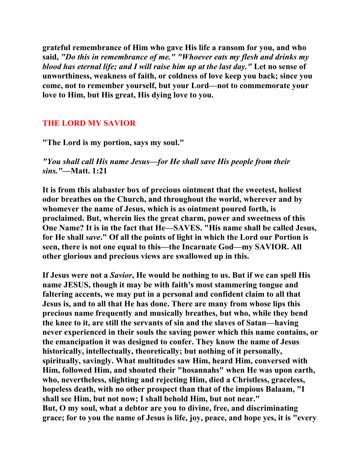**grateful remembrance of Him who gave His life a ransom for you, and who said,** *"Do this in remembrance of me." "Whoever eats my flesh and drinks my blood has eternal life; and I will raise him up at the last day."* **Let no sense of unworthiness, weakness of faith, or coldness of love keep you back; since you come, not to remember yourself, but your Lord—not to commemorate your love to Him, but His great, His dying love to you.** 

#### **THE LORD MY SAVIOR**

**"The Lord is my portion, says my soul."** 

*"You shall call His name Jesus—for He shall save His people from their sins."***—Matt. 1:21** 

**It is from this alabaster box of precious ointment that the sweetest, holiest odor breathes on the Church, and throughout the world, wherever and by whomever the name of Jesus, which is as ointment poured forth, is proclaimed. But, wherein lies the great charm, power and sweetness of this One Name? It is in the fact that He—SAVES. "His name shall be called Jesus, for He shall** *save***." Of all the points of light in which the Lord our Portion is seen, there is not one equal to this—the Incarnate God—my SAVIOR. All other glorious and precious views are swallowed up in this.** 

**If Jesus were not a** *Savior***, He would be nothing to us. But if we can spell His name JESUS, though it may be with faith's most stammering tongue and faltering accents, we may put in a personal and confident claim to all that Jesus is, and to all that He has done. There are many from whose lips this precious name frequently and musically breathes, but who, while they bend the knee to it, are still the servants of sin and the slaves of Satan—having never experienced in their souls the saving power which this name contains, or the emancipation it was designed to confer. They know the name of Jesus historically, intellectually, theoretically; but nothing of it personally, spiritually, savingly. What multitudes saw Him, heard Him, conversed with Him, followed Him, and shouted their "hosannahs" when He was upon earth, who, nevertheless, slighting and rejecting Him, died a Christless, graceless, hopeless death, with no other prospect than that of the impious Balaam, "I shall see Him, but not now; I shall behold Him, but not near." But, O my soul, what a debtor are you to divine, free, and discriminating grace; for to you the name of Jesus is life, joy, peace, and hope yes, it is "every**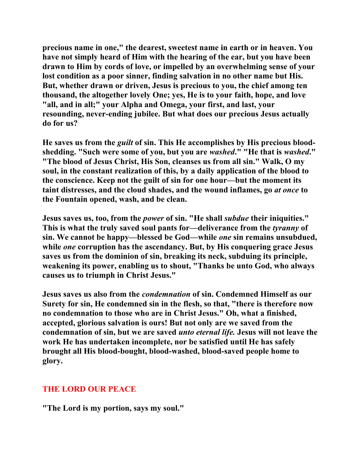**precious name in one," the dearest, sweetest name in earth or in heaven. You have not simply heard of Him with the hearing of the ear, but you have been drawn to Him by cords of love, or impelled by an overwhelming sense of your lost condition as a poor sinner, finding salvation in no other name but His. But, whether drawn or driven, Jesus is precious to you, the chief among ten thousand, the altogether lovely One; yes, He is to your faith, hope, and love "all, and in all;" your Alpha and Omega, your first, and last, your resounding, never-ending jubilee. But what does our precious Jesus actually do for us?** 

**He saves us from the** *guilt* **of sin. This He accomplishes by His precious bloodshedding. "Such were some of you, but you are** *washed***." "He that is** *washed***." "The blood of Jesus Christ, His Son, cleanses us from all sin." Walk, O my soul, in the constant realization of this, by a daily application of the blood to the conscience. Keep not the guilt of sin for one hour—but the moment its taint distresses, and the cloud shades, and the wound inflames, go** *at once* **to the Fountain opened, wash, and be clean.** 

**Jesus saves us, too, from the** *power* **of sin. "He shall** *subdue* **their iniquities." This is what the truly saved soul pants for—deliverance from the** *tyranny* **of sin. We cannot be happy—blessed be God—while** *one* **sin remains unsubdued, while** *one* **corruption has the ascendancy. But, by His conquering grace Jesus saves us from the dominion of sin, breaking its neck, subduing its principle, weakening its power, enabling us to shout, "Thanks be unto God, who always causes us to triumph in Christ Jesus."** 

**Jesus saves us also from the** *condemnation* **of sin. Condemned Himself as our Surety for sin, He condemned sin in the flesh, so that, "there is therefore now no condemnation to those who are in Christ Jesus." Oh, what a finished, accepted, glorious salvation is ours! But not only are we saved from the condemnation of sin, but we are saved** *unto eternal life.* **Jesus will not leave the work He has undertaken incomplete, nor be satisfied until He has safely brought all His blood-bought, blood-washed, blood-saved people home to glory.** 

## **THE LORD OUR PEACE**

**"The Lord is my portion, says my soul."**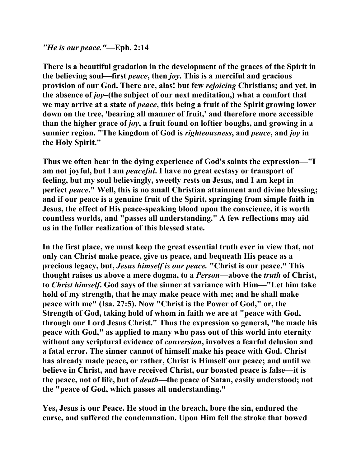#### *"He is our peace."***—Eph. 2:14**

**There is a beautiful gradation in the development of the graces of the Spirit in the believing soul—first** *peace***, then** *joy***. This is a merciful and gracious provision of our God. There are, alas! but few** *rejoicing* **Christians; and yet, in the absence of** *joy***–(the subject of our next meditation,) what a comfort that we may arrive at a state of** *peace***, this being a fruit of the Spirit growing lower down on the tree, 'bearing all manner of fruit,' and therefore more accessible than the higher grace of** *joy***, a fruit found on loftier boughs, and growing in a sunnier region. "The kingdom of God is** *righteousness***, and** *peace***, and** *joy* **in the Holy Spirit."** 

**Thus we often hear in the dying experience of God's saints the expression—"I am not joyful, but I am** *peaceful***. I have no great ecstasy or transport of feeling, but my soul believingly, sweetly rests on Jesus, and I am kept in perfect** *peace***." Well, this is no small Christian attainment and divine blessing; and if our peace is a genuine fruit of the Spirit, springing from simple faith in Jesus, the effect of His peace-speaking blood upon the conscience, it is worth countless worlds, and "passes all understanding." A few reflections may aid us in the fuller realization of this blessed state.** 

**In the first place, we must keep the great essential truth ever in view that, not only can Christ make peace, give us peace, and bequeath His peace as a precious legacy, but,** *Jesus himself is our peace.* **"Christ is our peace." This thought raises us above a mere dogma, to a** *Person***—above the** *truth* **of Christ, to** *Christ himself***. God says of the sinner at variance with Him—"Let him take hold of my strength, that he may make peace with me; and he shall make peace with me" (Isa. 27:5). Now "Christ is the Power of God," or, the Strength of God, taking hold of whom in faith we are at "peace with God, through our Lord Jesus Christ." Thus the expression so general, "he made his peace with God," as applied to many who pass out of this world into eternity without any scriptural evidence of** *conversion***, involves a fearful delusion and a fatal error. The sinner cannot of himself make his peace with God. Christ has already made peace, or rather, Christ is Himself our peace; and until we believe in Christ, and have received Christ, our boasted peace is false—it is the peace, not of life, but of** *death—***the peace of Satan, easily understood; not the "peace of God, which passes all understanding."** 

**Yes, Jesus is our Peace. He stood in the breach, bore the sin, endured the curse, and suffered the condemnation. Upon Him fell the stroke that bowed**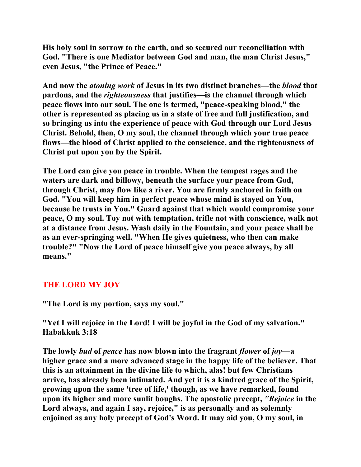**His holy soul in sorrow to the earth, and so secured our reconciliation with God. "There is one Mediator between God and man, the man Christ Jesus," even Jesus, "the Prince of Peace."** 

**And now the** *atoning work* **of Jesus in its two distinct branches—the** *blood* **that pardons, and the** *righteousness* **that justifies—is the channel through which peace flows into our soul. The one is termed, "peace-speaking blood," the other is represented as placing us in a state of free and full justification, and so bringing us into the experience of peace with God through our Lord Jesus Christ. Behold, then, O my soul, the channel through which your true peace flows—the blood of Christ applied to the conscience, and the righteousness of Christ put upon you by the Spirit.** 

**The Lord can give you peace in trouble. When the tempest rages and the waters are dark and billowy, beneath the surface your peace from God, through Christ, may flow like a river. You are firmly anchored in faith on God. "You will keep him in perfect peace whose mind is stayed on You, because he trusts in You." Guard against that which would compromise your peace, O my soul. Toy not with temptation, trifle not with conscience, walk not at a distance from Jesus. Wash daily in the Fountain, and your peace shall be as an ever-springing well. "When He gives quietness, who then can make trouble?" "Now the Lord of peace himself give you peace always, by all means."** 

# **THE LORD MY JOY**

**"The Lord is my portion, says my soul."** 

**"Yet I will rejoice in the Lord! I will be joyful in the God of my salvation." Habakkuk 3:18** 

**The lowly** *bud* **of** *peace* **has now blown into the fragrant** *flower* **of** *joy***—a higher grace and a more advanced stage in the happy life of the believer. That this is an attainment in the divine life to which, alas! but few Christians arrive, has already been intimated. And yet it is a kindred grace of the Spirit, growing upon the same 'tree of life,' though, as we have remarked, found upon its higher and more sunlit boughs. The apostolic precept,** *"Rejoice* **in the Lord always, and again I say, rejoice," is as personally and as solemnly enjoined as any holy precept of God's Word. It may aid you, O my soul, in**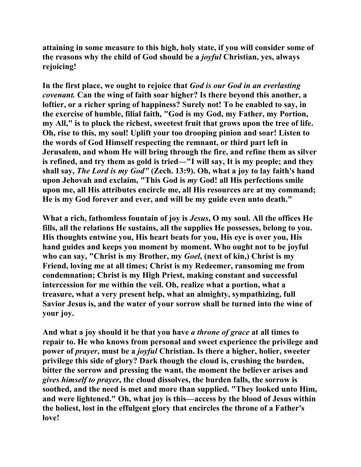**attaining in some measure to this high, holy state, if you will consider some of the reasons why the child of God should be a** *joyful* **Christian, yes, always rejoicing!** 

**In the first place, we ought to rejoice that** *God is our God in an everlasting covenant.* **Can the wing of faith soar higher? Is there beyond this another, a loftier, or a richer spring of happiness? Surely not! To be enabled to say, in the exercise of humble, filial faith, "God is my God, my Father, my Portion, my All," is to pluck the richest, sweetest fruit that grows upon the tree of life. Oh, rise to this, my soul! Uplift your too drooping pinion and soar! Listen to the words of God Himself respecting the remnant, or third part left in Jerusalem, and whom He will bring through the fire, and refine them as silver is refined, and try them as gold is tried—"I will say, It is my people; and they shall say,** *The Lord is my God"* **(Zech. 13:9). Oh, what a joy to lay faith's hand upon Jehovah and exclaim, "This God is** *my* **God! all His perfections smile upon me, all His attributes encircle me, all His resources are at my command; He is my God forever and ever, and will be my guide even unto death."** 

**What a rich, fathomless fountain of joy is** *Jesus***, O my soul. All the offices He fills, all the relations He sustains, all the supplies He possesses, belong to you. His thoughts entwine you, His heart beats for you, His eye is over you, His hand guides and keeps you moment by moment. Who ought not to be joyful who can say, "Christ is my Brother, my** *Goel***, (next of kin,) Christ is my Friend, loving me at all times; Christ is my Redeemer, ransoming me from condemnation; Christ is my High Priest, making constant and successful intercession for me within the veil. Oh, realize what a portion, what a treasure, what a very present help, what an almighty, sympathizing, full Savior Jesus is, and the water of your sorrow shall be turned into the wine of your joy.** 

**And what a joy should it be that you have** *a throne of grace* **at all times to repair to. He who knows from personal and sweet experience the privilege and power of** *prayer***, must be a** *joyful* **Christian. Is there a higher, holier, sweeter privilege this side of glory? Dark though the cloud is, crushing the burden, bitter the sorrow and pressing the want, the moment the believer arises and**  *gives himself to prayer***, the cloud dissolves, the burden falls, the sorrow is soothed, and the need is met and more than supplied. "They looked unto Him, and were lightened." Oh, what joy is this—access by the blood of Jesus within the holiest, lost in the effulgent glory that encircles the throne of a Father's love!**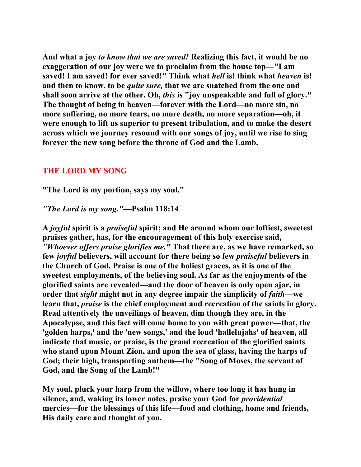**And what a joy** *to know that we are saved!* **Realizing this fact, it would be no exaggeration of our joy were we to proclaim from the house top—"I am saved! I am saved! for ever saved!" Think what** *hell* **is! think what** *heaven* **is! and then to know, to be** *quite sure,* **that we are snatched from the one and shall soon arrive at the other. Oh,** *this* **is "joy unspeakable and full of glory." The thought of being in heaven—forever with the Lord—no more sin, no more suffering, no more tears, no more death, no more separation—oh, it were enough to lift us superior to present tribulation, and to make the desert across which we journey resound with our songs of joy, until we rise to sing forever the new song before the throne of God and the Lamb.** 

#### **THE LORD MY SONG**

**"The Lord is my portion, says my soul."** 

#### *"The Lord is my song."***—Psalm 118:14**

**A** *joyful* **spirit is a** *praiseful* **spirit; and He around whom our loftiest, sweetest praises gather, has, for the encouragement of this holy exercise said,** *"Whoever offers praise glorifies me."* **That there are, as we have remarked, so few** *joyful* **believers, will account for there being so few** *praiseful* **believers in the Church of God. Praise is one of the holiest graces, as it is one of the sweetest employments, of the believing soul. As far as the enjoyments of the glorified saints are revealed—and the door of heaven is only open ajar, in order that** *sight* **might not in any degree impair the simplicity of** *faith***—we learn that,** *praise* **is the chief employment and recreation of the saints in glory. Read attentively the unveilings of heaven, dim though they are, in the Apocalypse, and this fact will come home to you with great power—that, the 'golden harps,' and the 'new songs,' and the loud 'hallelujahs' of heaven, all indicate that music, or praise, is the grand recreation of the glorified saints who stand upon Mount Zion, and upon the sea of glass, having the harps of God; their high, transporting anthem—the "Song of Moses, the servant of God, and the Song of the Lamb!"** 

**My soul, pluck your harp from the willow, where too long it has hung in silence, and, waking its lower notes, praise your God for** *providential*  **mercies—for the blessings of this life—food and clothing, home and friends, His daily care and thought of you.**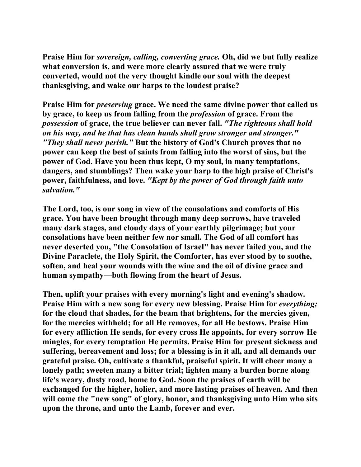**Praise Him for** *sovereign, calling, converting grace.* **Oh, did we but fully realize what conversion is, and were more clearly assured that we were truly converted, would not the very thought kindle our soul with the deepest thanksgiving, and wake our harps to the loudest praise?** 

**Praise Him for** *preserving* **grace. We need the same divine power that called us by grace, to keep us from falling from the** *profession* **of grace. From the**  *possession* **of grace, the true believer can never fall.** *"The righteous shall hold on his way, and he that has clean hands shall grow stronger and stronger." "They shall never perish."* **But the history of God's Church proves that no power can keep the best of saints from falling into the worst of sins, but the power of God. Have you been thus kept, O my soul, in many temptations, dangers, and stumblings? Then wake your harp to the high praise of Christ's power, faithfulness, and love.** *"Kept by the power of God through faith unto salvation."* 

**The Lord, too, is our song in view of the consolations and comforts of His grace. You have been brought through many deep sorrows, have traveled many dark stages, and cloudy days of your earthly pilgrimage; but your consolations have been neither few nor small. The God of all comfort has never deserted you, "the Consolation of Israel" has never failed you, and the Divine Paraclete, the Holy Spirit, the Comforter, has ever stood by to soothe, soften, and heal your wounds with the wine and the oil of divine grace and human sympathy—both flowing from the heart of Jesus.** 

**Then, uplift your praises with every morning's light and evening's shadow.**  Praise Him with a new song for every new blessing. Praise Him for *everything*; **for the cloud that shades, for the beam that brightens, for the mercies given, for the mercies withheld; for all He removes, for all He bestows. Praise Him for every affliction He sends, for every cross He appoints, for every sorrow He mingles, for every temptation He permits. Praise Him for present sickness and suffering, bereavement and loss; for a blessing is in it all, and all demands our grateful praise. Oh, cultivate a thankful, praiseful spirit. It will cheer many a lonely path; sweeten many a bitter trial; lighten many a burden borne along life's weary, dusty road, home to God. Soon the praises of earth will be exchanged for the higher, holier, and more lasting praises of heaven. And then will come the "new song" of glory, honor, and thanksgiving unto Him who sits upon the throne, and unto the Lamb, forever and ever.**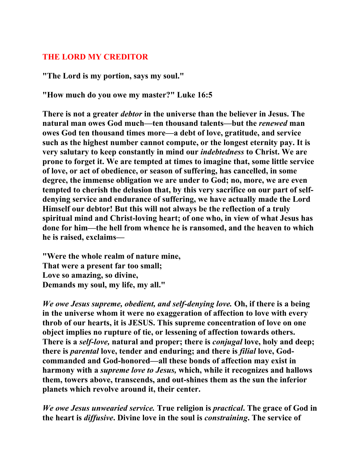## **THE LORD MY CREDITOR**

**"The Lord is my portion, says my soul."** 

**"How much do you owe my master?" Luke 16:5** 

**There is not a greater** *debtor* **in the universe than the believer in Jesus. The natural man owes God much—ten thousand talents—but the** *renewed* **man owes God ten thousand times more—a debt of love, gratitude, and service such as the highest number cannot compute, or the longest eternity pay. It is very salutary to keep constantly in mind our** *indebtedness* **to Christ. We are prone to forget it. We are tempted at times to imagine that, some little service of love, or act of obedience, or season of suffering, has cancelled, in some degree, the immense obligation we are under to God; no, more, we are even tempted to cherish the delusion that, by this very sacrifice on our part of selfdenying service and endurance of suffering, we have actually made the Lord Himself our debtor! But this will not always be the reflection of a truly spiritual mind and Christ-loving heart; of one who, in view of what Jesus has done for him—the hell from whence he is ransomed, and the heaven to which he is raised, exclaims—** 

**"Were the whole realm of nature mine, That were a present far too small; Love so amazing, so divine, Demands my soul, my life, my all."** 

*We owe Jesus supreme, obedient, and self-denying love.* **Oh, if there is a being in the universe whom it were no exaggeration of affection to love with every throb of our hearts, it is JESUS. This supreme concentration of love on one object implies no rupture of tie, or lessening of affection towards others. There is a** *self-love,* **natural and proper; there is** *conjugal* **love, holy and deep; there is** *parental* **love, tender and enduring; and there is** *filial* **love, Godcommanded and God-honored—all these bonds of affection may exist in harmony with a** *supreme love to Jesus,* **which, while it recognizes and hallows them, towers above, transcends, and out-shines them as the sun the inferior planets which revolve around it, their center.** 

*We owe Jesus unwearied service.* **True religion is** *practical***. The grace of God in the heart is** *diffusive***. Divine love in the soul is** *constraining***. The service of**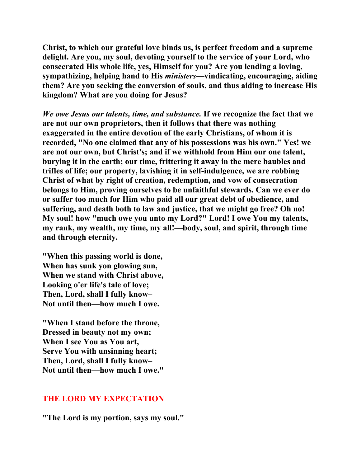**Christ, to which our grateful love binds us, is perfect freedom and a supreme delight. Are you, my soul, devoting yourself to the service of your Lord, who consecrated His whole life, yes, Himself for you? Are you lending a loving, sympathizing, helping hand to His** *ministers***—vindicating, encouraging, aiding them? Are you seeking the conversion of souls, and thus aiding to increase His kingdom? What are you doing for Jesus?** 

*We owe Jesus our talents, time, and substance.* **If we recognize the fact that we are not our own proprietors, then it follows that there was nothing exaggerated in the entire devotion of the early Christians, of whom it is recorded, "No one claimed that any of his possessions was his own." Yes! we are not our own, but Christ's; and if we withhold from Him our one talent, burying it in the earth; our time, frittering it away in the mere baubles and trifles of life; our property, lavishing it in self-indulgence, we are robbing Christ of what by right of creation, redemption, and vow of consecration belongs to Him, proving ourselves to be unfaithful stewards. Can we ever do or suffer too much for Him who paid all our great debt of obedience, and suffering, and death both to law and justice, that we might go free? Oh no! My soul! how "much owe you unto my Lord?" Lord! I owe You my talents, my rank, my wealth, my time, my all!—body, soul, and spirit, through time and through eternity.** 

**"When this passing world is done, When has sunk yon glowing sun, When we stand with Christ above, Looking o'er life's tale of love; Then, Lord, shall I fully know– Not until then—how much I owe.** 

**"When I stand before the throne, Dressed in beauty not my own; When I see You as You art, Serve You with unsinning heart; Then, Lord, shall I fully know– Not until then—how much I owe."** 

#### **THE LORD MY EXPECTATION**

**"The Lord is my portion, says my soul."**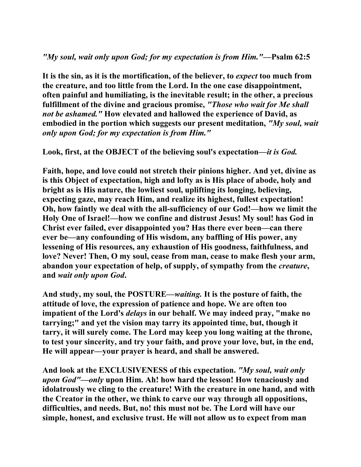## *"My soul, wait only upon God; for my expectation is from Him."***—Psalm 62:5**

**It is the sin, as it is the mortification, of the believer, to** *expect* **too much from the creature, and too little from the Lord. In the one case disappointment, often painful and humiliating, is the inevitable result; in the other, a precious fulfillment of the divine and gracious promise,** *"Those who wait for Me shall not be ashamed."* **How elevated and hallowed the experience of David, as embodied in the portion which suggests our present meditation,** *"My soul, wait only upon God; for my expectation is from Him."* 

**Look, first, at the OBJECT of the believing soul's expectation—***it is God.* 

**Faith, hope, and love could not stretch their pinions higher. And yet, divine as is this Object of expectation, high and lofty as is His place of abode, holy and bright as is His nature, the lowliest soul, uplifting its longing, believing, expecting gaze, may reach Him, and realize its highest, fullest expectation! Oh, how faintly we deal with the all-sufficiency of our God!—how we limit the Holy One of Israel!—how we confine and distrust Jesus! My soul! has God in Christ ever failed, ever disappointed you? Has there ever been—can there ever be—any confounding of His wisdom, any baffling of His power, any lessening of His resources, any exhaustion of His goodness, faithfulness, and love? Never! Then, O my soul, cease from man, cease to make flesh your arm, abandon your expectation of help, of supply, of sympathy from the** *creature***, and** *wait only upon God***.** 

**And study, my soul, the POSTURE—***waiting.* **It is the posture of faith, the attitude of love, the expression of patience and hope. We are often too impatient of the Lord's** *delays* **in our behalf. We may indeed pray, "make no tarrying;" and yet the vision may tarry its appointed time, but, though it tarry, it will surely come. The Lord may keep you long waiting at the throne, to test your sincerity, and try your faith, and prove your love, but, in the end, He will appear—your prayer is heard, and shall be answered.** 

**And look at the EXCLUSIVENESS of this expectation.** *"My soul, wait only upon God"—only* **upon Him. Ah! how hard the lesson! How tenaciously and idolatrously we cling to the creature! With the creature in one hand, and with the Creator in the other, we think to carve our way through all oppositions, difficulties, and needs. But, no! this must not be. The Lord will have our simple, honest, and exclusive trust. He will not allow us to expect from man**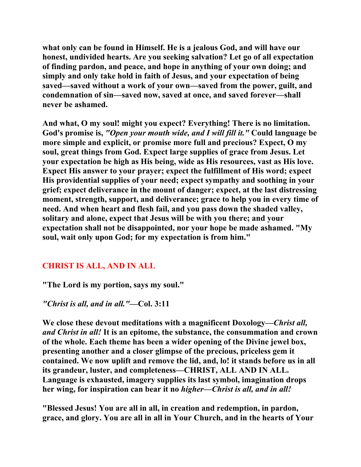**what only can be found in Himself. He is a jealous God, and will have our honest, undivided hearts. Are you seeking salvation? Let go of all expectation of finding pardon, and peace, and hope in anything of your own doing; and simply and only take hold in faith of Jesus, and your expectation of being saved—saved without a work of your own—saved from the power, guilt, and condemnation of sin—saved now, saved at once, and saved forever—shall never be ashamed.** 

**And what, O my soul! might you expect? Everything! There is no limitation. God's promise is,** *"Open your mouth wide, and I will fill it."* **Could language be more simple and explicit, or promise more full and precious? Expect, O my soul, great things from God. Expect large supplies of grace from Jesus. Let your expectation be high as His being, wide as His resources, vast as His love. Expect His answer to your prayer; expect the fulfillment of His word; expect His providential supplies of your need; expect sympathy and soothing in your grief; expect deliverance in the mount of danger; expect, at the last distressing moment, strength, support, and deliverance; grace to help you in every time of need. And when heart and flesh fail, and you pass down the shaded valley, solitary and alone, expect that Jesus will be with you there; and your expectation shall not be disappointed, nor your hope be made ashamed. "My soul, wait only upon God; for my expectation is from him."** 

# **CHRIST IS ALL, AND IN ALL**

**"The Lord is my portion, says my soul."** 

*"Christ is all, and in all."***—Col. 3:11** 

**We close these devout meditations with a magnificent Doxology—***Christ all, and Christ in all!* **It is an epitome, the substance, the consummation and crown of the whole. Each theme has been a wider opening of the Divine jewel box, presenting another and a closer glimpse of the precious, priceless gem it contained. We now uplift and remove the lid, and, lo! it stands before us in all its grandeur, luster, and completeness—CHRIST, ALL AND IN ALL. Language is exhausted, imagery supplies its last symbol, imagination drops her wing, for inspiration can bear it no** *higher—Christ is all, and in all!* 

**"Blessed Jesus! You are all in all, in creation and redemption, in pardon, grace, and glory. You are all in all in Your Church, and in the hearts of Your**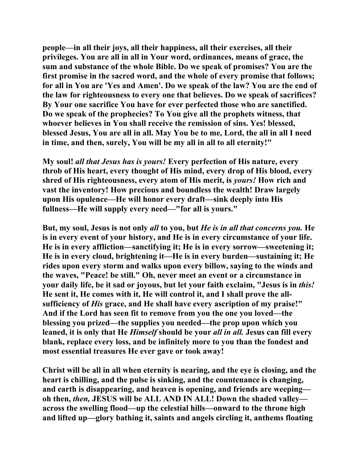**people—in all their joys, all their happiness, all their exercises, all their privileges. You are all in all in Your word, ordinances, means of grace, the sum and substance of the whole Bible. Do we speak of promises? You are the first promise in the sacred word, and the whole of every promise that follows; for all in You are 'Yes and Amen'. Do we speak of the law? You are the end of the law for righteousness to every one that believes. Do we speak of sacrifices? By Your one sacrifice You have for ever perfected those who are sanctified. Do we speak of the prophecies? To You give all the prophets witness, that whoever believes in You shall receive the remission of sins. Yes! blessed, blessed Jesus, You are all in all. May You be to me, Lord, the all in all I need in time, and then, surely, You will be my all in all to all eternity!"** 

**My soul!** *all that Jesus has is yours!* **Every perfection of His nature, every throb of His heart, every thought of His mind, every drop of His blood, every shred of His righteousness, every atom of His merit, is** *yours!* **How rich and vast the inventory! How precious and boundless the wealth! Draw largely upon His opulence—He will honor every draft—sink deeply into His fullness—He will supply every need—"for all is yours."** 

**But, my soul, Jesus is not only** *all* **to you, but** *He is in all that concerns you.* **He is in every event of your history, and He is in every circumstance of your life. He is in every affliction—sanctifying it; He is in every sorrow—sweetening it; He is in every cloud, brightening it—He is in every burden—sustaining it; He rides upon every storm and walks upon every billow, saying to the winds and the waves, "Peace! be still." Oh, never meet an event or a circumstance in your daily life, be it sad or joyous, but let your faith exclaim, "Jesus is in** *this!*  **He sent it, He comes with it, He will control it, and I shall prove the allsufficiency of** *His* **grace, and He shall have every ascription of my praise!" And if the Lord has seen fit to remove from you the one you loved—the blessing you prized—the supplies you needed—the prop upon which you leaned, it is only that He** *Himself* **should be your** *all in all.* **Jesus can fill every blank, replace every loss, and be infinitely more to you than the fondest and most essential treasures He ever gave or took away!** 

**Christ will be all in all when eternity is nearing, and the eye is closing, and the heart is chilling, and the pulse is sinking, and the countenance is changing, and earth is disappearing, and heaven is opening, and friends are weeping oh then,** *then,* **JESUS will be ALL AND IN ALL! Down the shaded valley across the swelling flood—up the celestial hills—onward to the throne high and lifted up—glory bathing it, saints and angels circling it, anthems floating**